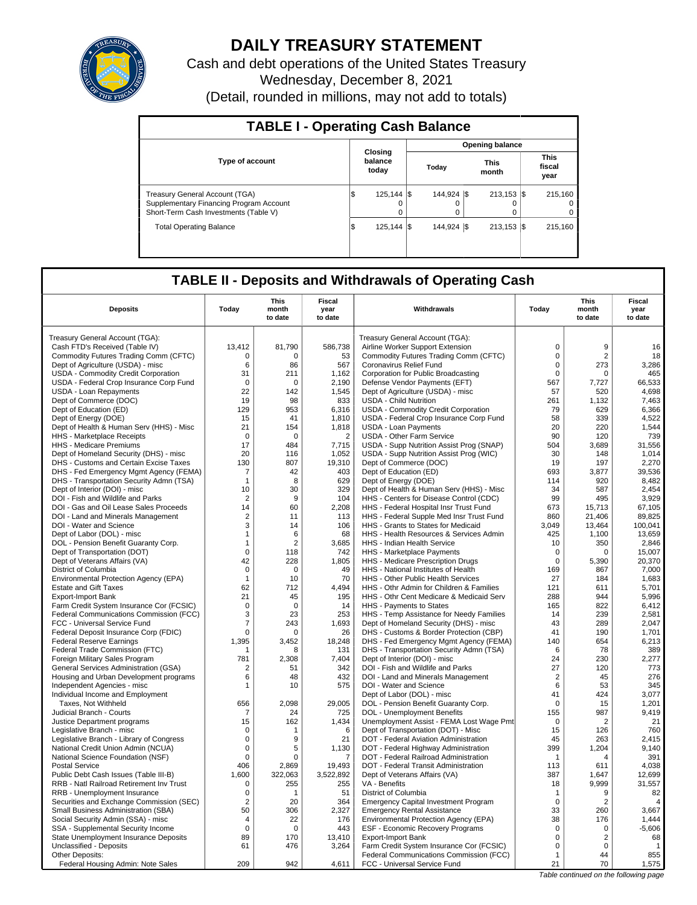

# **DAILY TREASURY STATEMENT**

Cash and debt operations of the United States Treasury Wednesday, December 8, 2021 (Detail, rounded in millions, may not add to totals)

| <b>TABLE I - Operating Cash Balance</b>                                                                            |                             |  |                        |  |                           |  |                                 |  |  |
|--------------------------------------------------------------------------------------------------------------------|-----------------------------|--|------------------------|--|---------------------------|--|---------------------------------|--|--|
|                                                                                                                    |                             |  |                        |  | <b>Opening balance</b>    |  |                                 |  |  |
| <b>Type of account</b>                                                                                             | Closing<br>balance<br>today |  | Today                  |  | <b>This</b><br>month      |  | <b>This</b><br>fiscal<br>year   |  |  |
| Treasury General Account (TGA)<br>Supplementary Financing Program Account<br>Short-Term Cash Investments (Table V) | 125.144   \$<br>I\$<br>0    |  | 144.924 \\<br>$\Omega$ |  | $213.153$ $\sqrt{5}$<br>0 |  | 215.160<br>$\Omega$<br>$\Omega$ |  |  |
| <b>Total Operating Balance</b>                                                                                     | 125.144   \$<br>1\$         |  | 144.924 \\$            |  | $213.153$ $\sqrt{5}$      |  | 215.160                         |  |  |

## **TABLE II - Deposits and Withdrawals of Operating Cash**

| Treasury General Account (TGA):<br>Treasury General Account (TGA):<br>$\mathbf 0$<br>13,412<br>81,790<br>586,738<br>9<br>Cash FTD's Received (Table IV)<br>Airline Worker Support Extension<br>16<br>Commodity Futures Trading Comm (CFTC)<br>$\Omega$<br>$\Omega$<br>53<br>Commodity Futures Trading Comm (CFTC)<br>$\mathbf 0$<br>2<br>18<br>Dept of Agriculture (USDA) - misc<br>6<br>$\mathbf 0$<br>273<br>3,286<br>86<br>567<br>Coronavirus Relief Fund<br>31<br>465<br>USDA - Commodity Credit Corporation<br>211<br>1,162<br>Corporation for Public Broadcasting<br>$\mathbf 0$<br>$\Omega$<br>USDA - Federal Crop Insurance Corp Fund<br>$\mathbf 0$<br>$\mathbf 0$<br>2,190<br>Defense Vendor Payments (EFT)<br>567<br>66,533<br>7,727<br>USDA - Loan Repayments<br>22<br>142<br>1,545<br>Dept of Agriculture (USDA) - misc<br>57<br>520<br>4,698<br>833<br><b>USDA - Child Nutrition</b><br>261<br>Dept of Commerce (DOC)<br>19<br>98<br>1.132<br>7.463<br>Dept of Education (ED)<br>129<br>953<br>6,316<br>USDA - Commodity Credit Corporation<br>79<br>629<br>6,366<br>58<br>339<br>4,522<br>Dept of Energy (DOE)<br>15<br>41<br>1,810<br>USDA - Federal Crop Insurance Corp Fund<br>20<br>Dept of Health & Human Serv (HHS) - Misc<br>21<br>154<br>1,818<br><b>USDA - Loan Payments</b><br>220<br>1,544<br>90<br>HHS - Marketplace Receipts<br>$\mathbf 0$<br>$\mathbf 0$<br>$\overline{2}$<br><b>USDA - Other Farm Service</b><br>120<br>739<br>17<br>31,556<br>HHS - Medicare Premiums<br>484<br>7,715<br>USDA - Supp Nutrition Assist Prog (SNAP)<br>504<br>3,689<br>Dept of Homeland Security (DHS) - misc<br>20<br>1,052<br>USDA - Supp Nutrition Assist Prog (WIC)<br>30<br>148<br>1,014<br>116<br>130<br>807<br>Dept of Commerce (DOC)<br>197<br>2,270<br>DHS - Customs and Certain Excise Taxes<br>19,310<br>19<br>DHS - Fed Emergency Mgmt Agency (FEMA)<br>$\overline{7}$<br>42<br>403<br>Dept of Education (ED)<br>693<br>3,877<br>39,536<br>DHS - Transportation Security Admn (TSA)<br>629<br>Dept of Energy (DOE)<br>114<br>920<br>8,482<br>$\mathbf{1}$<br>8<br>Dept of Interior (DOI) - misc<br>10<br>30<br>329<br>Dept of Health & Human Serv (HHS) - Misc<br>34<br>587<br>2.454<br>3,929<br>$\overline{2}$<br>104<br>HHS - Centers for Disease Control (CDC)<br>99<br>495<br>DOI - Fish and Wildlife and Parks<br>9<br>14<br>60<br>2,208<br>HHS - Federal Hospital Insr Trust Fund<br>673<br>15,713<br>67,105<br>DOI - Gas and Oil Lease Sales Proceeds<br>$\boldsymbol{2}$<br>860<br>21.406<br>HHS - Federal Supple Med Insr Trust Fund<br>89.825<br>DOI - Land and Minerals Management<br>113<br>11<br>3<br>13,464<br>100,041<br>DOI - Water and Science<br>14<br>106<br>HHS - Grants to States for Medicaid<br>3,049<br>Dept of Labor (DOL) - misc<br>68<br>HHS - Health Resources & Services Admin<br>425<br>1,100<br>13,659<br>$\mathbf{1}$<br>6<br>DOL - Pension Benefit Guaranty Corp.<br>$\overline{2}$<br>3,685<br>HHS - Indian Health Service<br>10<br>350<br>2,846<br>$\mathbf{1}$<br>$\mathbf 0$<br>15,007<br>Dept of Transportation (DOT)<br>118<br>742<br>HHS - Marketplace Payments<br>$\mathbf 0$<br>0<br>1,805<br>20,370<br>Dept of Veterans Affairs (VA)<br>42<br>228<br>HHS - Medicare Prescription Drugs<br>$\Omega$<br>5,390<br>0<br>49<br>169<br>867<br>7,000<br>District of Columbia<br>$\mathbf 0$<br>HHS - National Institutes of Health<br>10<br>70<br>HHS - Other Public Health Services<br>27<br>184<br>1,683<br>Environmental Protection Agency (EPA)<br>$\mathbf{1}$<br><b>Estate and Gift Taxes</b><br>62<br>712<br>4.494<br>HHS - Othr Admin for Children & Families<br>121<br>611<br>5.701<br>21<br>45<br>195<br>HHS - Othr Cent Medicare & Medicaid Serv<br>288<br>944<br>5,996<br><b>Export-Import Bank</b><br>822<br>6.412<br>Farm Credit System Insurance Cor (FCSIC)<br>0<br>$\Omega$<br>14<br>HHS - Payments to States<br>165<br>Federal Communications Commission (FCC)<br>3<br>23<br>253<br>HHS - Temp Assistance for Needy Families<br>239<br>2,581<br>14<br>$\overline{7}$<br>FCC - Universal Service Fund<br>243<br>1,693<br>Dept of Homeland Security (DHS) - misc<br>43<br>289<br>2.047<br>190<br>1,701<br>Federal Deposit Insurance Corp (FDIC)<br>$\mathbf 0$<br>26<br>DHS - Customs & Border Protection (CBP)<br>41<br>$\Omega$<br><b>Federal Reserve Earnings</b><br>1.395<br>3,452<br>18.248<br>DHS - Fed Emergency Mgmt Agency (FEMA)<br>140<br>654<br>6,213<br>78<br>389<br>Federal Trade Commission (FTC)<br>131<br>DHS - Transportation Security Admn (TSA)<br>6<br>-1<br>8<br>Foreign Military Sales Program<br>781<br>2,308<br>7,404<br>Dept of Interior (DOI) - misc<br>24<br>230<br>2,277<br>27<br>342<br>DOI - Fish and Wildlife and Parks<br>120<br>General Services Administration (GSA)<br>$\overline{2}$<br>51<br>773<br>432<br>DOI - Land and Minerals Management<br>276<br>Housing and Urban Development programs<br>6<br>48<br>$\overline{2}$<br>45<br>575<br>DOI - Water and Science<br>6<br>53<br>345<br>Independent Agencies - misc<br>10<br>1<br>Dept of Labor (DOL) - misc<br>41<br>424<br>3,077<br>Individual Income and Employment<br>2,098<br>29,005<br>$\mathbf 0$<br>15<br>1,201<br>656<br>DOL - Pension Benefit Guaranty Corp.<br>Taxes, Not Withheld<br>9,419<br>Judicial Branch - Courts<br>$\overline{7}$<br>725<br>DOL - Unemployment Benefits<br>155<br>987<br>24<br>21<br>15<br>Unemployment Assist - FEMA Lost Wage Pmt<br>Justice Department programs<br>162<br>1,434<br>$\mathbf 0$<br>$\overline{2}$<br>760<br>Legislative Branch - misc<br>$\Omega$<br>6<br>Dept of Transportation (DOT) - Misc<br>15<br>126<br>1<br>Legislative Branch - Library of Congress<br>0<br>9<br>21<br>DOT - Federal Aviation Administration<br>45<br>263<br>2,415<br>National Credit Union Admin (NCUA)<br>0<br>1,130<br>DOT - Federal Highway Administration<br>399<br>1,204<br>9,140<br>5<br>DOT - Federal Railroad Administration<br>391<br>National Science Foundation (NSF)<br>0<br>$\Omega$<br>7<br>$\mathbf{1}$<br>$\overline{4}$<br>406<br>19,493<br>DOT - Federal Transit Administration<br>113<br>611<br>4,038<br><b>Postal Service</b><br>2,869<br>1,600<br>322,063<br>387<br>1,647<br>12,699<br>Public Debt Cash Issues (Table III-B)<br>3,522,892<br>Dept of Veterans Affairs (VA)<br>RRB - Natl Railroad Retirement Inv Trust<br>$\mathbf 0$<br>255<br>VA - Benefits<br>18<br>9,999<br>31,557<br>255<br>RRB - Unemployment Insurance<br>$\mathbf 0$<br>51<br>District of Columbia<br>9<br>82<br>1<br>$\mathbf{1}$<br>$\overline{2}$<br>$\mathbf 0$<br>Securities and Exchange Commission (SEC)<br>20<br>364<br><b>Emergency Capital Investment Program</b><br>$\overline{2}$<br>$\overline{4}$<br>3,667<br>Small Business Administration (SBA)<br>50<br>306<br>2,327<br><b>Emergency Rental Assistance</b><br>33<br>260<br>Environmental Protection Agency (EPA)<br>38<br>Social Security Admin (SSA) - misc<br>22<br>176<br>176<br>1,444<br>4<br>$-5,606$<br>SSA - Supplemental Security Income<br>$\mathbf 0$<br>$\mathbf 0$<br>443<br><b>ESF - Economic Recovery Programs</b><br>$\mathbf 0$<br>$\mathbf 0$<br>State Unemployment Insurance Deposits<br>89<br>170<br>13,410<br><b>Export-Import Bank</b><br>$\mathbf 0$<br>$\overline{2}$<br>68<br>Unclassified - Deposits<br>476<br>3,264<br>Farm Credit System Insurance Cor (FCSIC)<br>$\Omega$<br>$\Omega$<br>61<br>$\overline{1}$<br>855<br>Other Deposits:<br>Federal Communications Commission (FCC)<br>44<br>$\mathbf{1}$<br>Federal Housing Admin: Note Sales<br>209<br>942<br>4,611<br>FCC - Universal Service Fund<br>21<br>70<br>1,575<br>Table continued on the following page | <b>Deposits</b> | Today | This<br>month<br>to date | Fiscal<br>year<br>to date | Withdrawals | Today | This<br>month<br>to date | Fiscal<br>year<br>to date |
|-----------------------------------------------------------------------------------------------------------------------------------------------------------------------------------------------------------------------------------------------------------------------------------------------------------------------------------------------------------------------------------------------------------------------------------------------------------------------------------------------------------------------------------------------------------------------------------------------------------------------------------------------------------------------------------------------------------------------------------------------------------------------------------------------------------------------------------------------------------------------------------------------------------------------------------------------------------------------------------------------------------------------------------------------------------------------------------------------------------------------------------------------------------------------------------------------------------------------------------------------------------------------------------------------------------------------------------------------------------------------------------------------------------------------------------------------------------------------------------------------------------------------------------------------------------------------------------------------------------------------------------------------------------------------------------------------------------------------------------------------------------------------------------------------------------------------------------------------------------------------------------------------------------------------------------------------------------------------------------------------------------------------------------------------------------------------------------------------------------------------------------------------------------------------------------------------------------------------------------------------------------------------------------------------------------------------------------------------------------------------------------------------------------------------------------------------------------------------------------------------------------------------------------------------------------------------------------------------------------------------------------------------------------------------------------------------------------------------------------------------------------------------------------------------------------------------------------------------------------------------------------------------------------------------------------------------------------------------------------------------------------------------------------------------------------------------------------------------------------------------------------------------------------------------------------------------------------------------------------------------------------------------------------------------------------------------------------------------------------------------------------------------------------------------------------------------------------------------------------------------------------------------------------------------------------------------------------------------------------------------------------------------------------------------------------------------------------------------------------------------------------------------------------------------------------------------------------------------------------------------------------------------------------------------------------------------------------------------------------------------------------------------------------------------------------------------------------------------------------------------------------------------------------------------------------------------------------------------------------------------------------------------------------------------------------------------------------------------------------------------------------------------------------------------------------------------------------------------------------------------------------------------------------------------------------------------------------------------------------------------------------------------------------------------------------------------------------------------------------------------------------------------------------------------------------------------------------------------------------------------------------------------------------------------------------------------------------------------------------------------------------------------------------------------------------------------------------------------------------------------------------------------------------------------------------------------------------------------------------------------------------------------------------------------------------------------------------------------------------------------------------------------------------------------------------------------------------------------------------------------------------------------------------------------------------------------------------------------------------------------------------------------------------------------------------------------------------------------------------------------------------------------------------------------------------------------------------------------------------------------------------------------------------------------------------------------------------------------------------------------------------------------------------------------------------------------------------------------------------------------------------------------------------------------------------------------------------------------------------------------------------------------------------------------------------------------------------------------------------------------------------------------------------------------------------------------------------------------------------------------------------------------------------------------------------------------------------------------------------------------------------------------------------------------------------------------------------------------------------------------------------------------------------------------------------------------------------------------------------------------------------------------------------------------------------------------------------------------------------------------------------------------------------------------------------------------------------------------------------------------------------------------------------------------------------------------------------------------------------------------------------------------------------------------------------------------------------------------------------------------------------------------------------------------------------------------------------------------------------------------------------------------------------------------------------------------------------------------------------------------------------------------------------------|-----------------|-------|--------------------------|---------------------------|-------------|-------|--------------------------|---------------------------|
|                                                                                                                                                                                                                                                                                                                                                                                                                                                                                                                                                                                                                                                                                                                                                                                                                                                                                                                                                                                                                                                                                                                                                                                                                                                                                                                                                                                                                                                                                                                                                                                                                                                                                                                                                                                                                                                                                                                                                                                                                                                                                                                                                                                                                                                                                                                                                                                                                                                                                                                                                                                                                                                                                                                                                                                                                                                                                                                                                                                                                                                                                                                                                                                                                                                                                                                                                                                                                                                                                                                                                                                                                                                                                                                                                                                                                                                                                                                                                                                                                                                                                                                                                                                                                                                                                                                                                                                                                                                                                                                                                                                                                                                                                                                                                                                                                                                                                                                                                                                                                                                                                                                                                                                                                                                                                                                                                                                                                                                                                                                                                                                                                                                                                                                                                                                                                                                                                                                                                                                                                                                                                                                                                                                                                                                                                                                                                                                                                                                                                                                                                                                                                                                                                                                                                                                                                                                                                                                                                                                                                                                                                                                                                                                                                                                                                                                                                                                                                                                                                                                                                                                                                                                                 |                 |       |                          |                           |             |       |                          |                           |
|                                                                                                                                                                                                                                                                                                                                                                                                                                                                                                                                                                                                                                                                                                                                                                                                                                                                                                                                                                                                                                                                                                                                                                                                                                                                                                                                                                                                                                                                                                                                                                                                                                                                                                                                                                                                                                                                                                                                                                                                                                                                                                                                                                                                                                                                                                                                                                                                                                                                                                                                                                                                                                                                                                                                                                                                                                                                                                                                                                                                                                                                                                                                                                                                                                                                                                                                                                                                                                                                                                                                                                                                                                                                                                                                                                                                                                                                                                                                                                                                                                                                                                                                                                                                                                                                                                                                                                                                                                                                                                                                                                                                                                                                                                                                                                                                                                                                                                                                                                                                                                                                                                                                                                                                                                                                                                                                                                                                                                                                                                                                                                                                                                                                                                                                                                                                                                                                                                                                                                                                                                                                                                                                                                                                                                                                                                                                                                                                                                                                                                                                                                                                                                                                                                                                                                                                                                                                                                                                                                                                                                                                                                                                                                                                                                                                                                                                                                                                                                                                                                                                                                                                                                                                 |                 |       |                          |                           |             |       |                          |                           |
|                                                                                                                                                                                                                                                                                                                                                                                                                                                                                                                                                                                                                                                                                                                                                                                                                                                                                                                                                                                                                                                                                                                                                                                                                                                                                                                                                                                                                                                                                                                                                                                                                                                                                                                                                                                                                                                                                                                                                                                                                                                                                                                                                                                                                                                                                                                                                                                                                                                                                                                                                                                                                                                                                                                                                                                                                                                                                                                                                                                                                                                                                                                                                                                                                                                                                                                                                                                                                                                                                                                                                                                                                                                                                                                                                                                                                                                                                                                                                                                                                                                                                                                                                                                                                                                                                                                                                                                                                                                                                                                                                                                                                                                                                                                                                                                                                                                                                                                                                                                                                                                                                                                                                                                                                                                                                                                                                                                                                                                                                                                                                                                                                                                                                                                                                                                                                                                                                                                                                                                                                                                                                                                                                                                                                                                                                                                                                                                                                                                                                                                                                                                                                                                                                                                                                                                                                                                                                                                                                                                                                                                                                                                                                                                                                                                                                                                                                                                                                                                                                                                                                                                                                                                                 |                 |       |                          |                           |             |       |                          |                           |
|                                                                                                                                                                                                                                                                                                                                                                                                                                                                                                                                                                                                                                                                                                                                                                                                                                                                                                                                                                                                                                                                                                                                                                                                                                                                                                                                                                                                                                                                                                                                                                                                                                                                                                                                                                                                                                                                                                                                                                                                                                                                                                                                                                                                                                                                                                                                                                                                                                                                                                                                                                                                                                                                                                                                                                                                                                                                                                                                                                                                                                                                                                                                                                                                                                                                                                                                                                                                                                                                                                                                                                                                                                                                                                                                                                                                                                                                                                                                                                                                                                                                                                                                                                                                                                                                                                                                                                                                                                                                                                                                                                                                                                                                                                                                                                                                                                                                                                                                                                                                                                                                                                                                                                                                                                                                                                                                                                                                                                                                                                                                                                                                                                                                                                                                                                                                                                                                                                                                                                                                                                                                                                                                                                                                                                                                                                                                                                                                                                                                                                                                                                                                                                                                                                                                                                                                                                                                                                                                                                                                                                                                                                                                                                                                                                                                                                                                                                                                                                                                                                                                                                                                                                                                 |                 |       |                          |                           |             |       |                          |                           |
|                                                                                                                                                                                                                                                                                                                                                                                                                                                                                                                                                                                                                                                                                                                                                                                                                                                                                                                                                                                                                                                                                                                                                                                                                                                                                                                                                                                                                                                                                                                                                                                                                                                                                                                                                                                                                                                                                                                                                                                                                                                                                                                                                                                                                                                                                                                                                                                                                                                                                                                                                                                                                                                                                                                                                                                                                                                                                                                                                                                                                                                                                                                                                                                                                                                                                                                                                                                                                                                                                                                                                                                                                                                                                                                                                                                                                                                                                                                                                                                                                                                                                                                                                                                                                                                                                                                                                                                                                                                                                                                                                                                                                                                                                                                                                                                                                                                                                                                                                                                                                                                                                                                                                                                                                                                                                                                                                                                                                                                                                                                                                                                                                                                                                                                                                                                                                                                                                                                                                                                                                                                                                                                                                                                                                                                                                                                                                                                                                                                                                                                                                                                                                                                                                                                                                                                                                                                                                                                                                                                                                                                                                                                                                                                                                                                                                                                                                                                                                                                                                                                                                                                                                                                                 |                 |       |                          |                           |             |       |                          |                           |
|                                                                                                                                                                                                                                                                                                                                                                                                                                                                                                                                                                                                                                                                                                                                                                                                                                                                                                                                                                                                                                                                                                                                                                                                                                                                                                                                                                                                                                                                                                                                                                                                                                                                                                                                                                                                                                                                                                                                                                                                                                                                                                                                                                                                                                                                                                                                                                                                                                                                                                                                                                                                                                                                                                                                                                                                                                                                                                                                                                                                                                                                                                                                                                                                                                                                                                                                                                                                                                                                                                                                                                                                                                                                                                                                                                                                                                                                                                                                                                                                                                                                                                                                                                                                                                                                                                                                                                                                                                                                                                                                                                                                                                                                                                                                                                                                                                                                                                                                                                                                                                                                                                                                                                                                                                                                                                                                                                                                                                                                                                                                                                                                                                                                                                                                                                                                                                                                                                                                                                                                                                                                                                                                                                                                                                                                                                                                                                                                                                                                                                                                                                                                                                                                                                                                                                                                                                                                                                                                                                                                                                                                                                                                                                                                                                                                                                                                                                                                                                                                                                                                                                                                                                                                 |                 |       |                          |                           |             |       |                          |                           |
|                                                                                                                                                                                                                                                                                                                                                                                                                                                                                                                                                                                                                                                                                                                                                                                                                                                                                                                                                                                                                                                                                                                                                                                                                                                                                                                                                                                                                                                                                                                                                                                                                                                                                                                                                                                                                                                                                                                                                                                                                                                                                                                                                                                                                                                                                                                                                                                                                                                                                                                                                                                                                                                                                                                                                                                                                                                                                                                                                                                                                                                                                                                                                                                                                                                                                                                                                                                                                                                                                                                                                                                                                                                                                                                                                                                                                                                                                                                                                                                                                                                                                                                                                                                                                                                                                                                                                                                                                                                                                                                                                                                                                                                                                                                                                                                                                                                                                                                                                                                                                                                                                                                                                                                                                                                                                                                                                                                                                                                                                                                                                                                                                                                                                                                                                                                                                                                                                                                                                                                                                                                                                                                                                                                                                                                                                                                                                                                                                                                                                                                                                                                                                                                                                                                                                                                                                                                                                                                                                                                                                                                                                                                                                                                                                                                                                                                                                                                                                                                                                                                                                                                                                                                                 |                 |       |                          |                           |             |       |                          |                           |
|                                                                                                                                                                                                                                                                                                                                                                                                                                                                                                                                                                                                                                                                                                                                                                                                                                                                                                                                                                                                                                                                                                                                                                                                                                                                                                                                                                                                                                                                                                                                                                                                                                                                                                                                                                                                                                                                                                                                                                                                                                                                                                                                                                                                                                                                                                                                                                                                                                                                                                                                                                                                                                                                                                                                                                                                                                                                                                                                                                                                                                                                                                                                                                                                                                                                                                                                                                                                                                                                                                                                                                                                                                                                                                                                                                                                                                                                                                                                                                                                                                                                                                                                                                                                                                                                                                                                                                                                                                                                                                                                                                                                                                                                                                                                                                                                                                                                                                                                                                                                                                                                                                                                                                                                                                                                                                                                                                                                                                                                                                                                                                                                                                                                                                                                                                                                                                                                                                                                                                                                                                                                                                                                                                                                                                                                                                                                                                                                                                                                                                                                                                                                                                                                                                                                                                                                                                                                                                                                                                                                                                                                                                                                                                                                                                                                                                                                                                                                                                                                                                                                                                                                                                                                 |                 |       |                          |                           |             |       |                          |                           |
|                                                                                                                                                                                                                                                                                                                                                                                                                                                                                                                                                                                                                                                                                                                                                                                                                                                                                                                                                                                                                                                                                                                                                                                                                                                                                                                                                                                                                                                                                                                                                                                                                                                                                                                                                                                                                                                                                                                                                                                                                                                                                                                                                                                                                                                                                                                                                                                                                                                                                                                                                                                                                                                                                                                                                                                                                                                                                                                                                                                                                                                                                                                                                                                                                                                                                                                                                                                                                                                                                                                                                                                                                                                                                                                                                                                                                                                                                                                                                                                                                                                                                                                                                                                                                                                                                                                                                                                                                                                                                                                                                                                                                                                                                                                                                                                                                                                                                                                                                                                                                                                                                                                                                                                                                                                                                                                                                                                                                                                                                                                                                                                                                                                                                                                                                                                                                                                                                                                                                                                                                                                                                                                                                                                                                                                                                                                                                                                                                                                                                                                                                                                                                                                                                                                                                                                                                                                                                                                                                                                                                                                                                                                                                                                                                                                                                                                                                                                                                                                                                                                                                                                                                                                                 |                 |       |                          |                           |             |       |                          |                           |
|                                                                                                                                                                                                                                                                                                                                                                                                                                                                                                                                                                                                                                                                                                                                                                                                                                                                                                                                                                                                                                                                                                                                                                                                                                                                                                                                                                                                                                                                                                                                                                                                                                                                                                                                                                                                                                                                                                                                                                                                                                                                                                                                                                                                                                                                                                                                                                                                                                                                                                                                                                                                                                                                                                                                                                                                                                                                                                                                                                                                                                                                                                                                                                                                                                                                                                                                                                                                                                                                                                                                                                                                                                                                                                                                                                                                                                                                                                                                                                                                                                                                                                                                                                                                                                                                                                                                                                                                                                                                                                                                                                                                                                                                                                                                                                                                                                                                                                                                                                                                                                                                                                                                                                                                                                                                                                                                                                                                                                                                                                                                                                                                                                                                                                                                                                                                                                                                                                                                                                                                                                                                                                                                                                                                                                                                                                                                                                                                                                                                                                                                                                                                                                                                                                                                                                                                                                                                                                                                                                                                                                                                                                                                                                                                                                                                                                                                                                                                                                                                                                                                                                                                                                                                 |                 |       |                          |                           |             |       |                          |                           |
|                                                                                                                                                                                                                                                                                                                                                                                                                                                                                                                                                                                                                                                                                                                                                                                                                                                                                                                                                                                                                                                                                                                                                                                                                                                                                                                                                                                                                                                                                                                                                                                                                                                                                                                                                                                                                                                                                                                                                                                                                                                                                                                                                                                                                                                                                                                                                                                                                                                                                                                                                                                                                                                                                                                                                                                                                                                                                                                                                                                                                                                                                                                                                                                                                                                                                                                                                                                                                                                                                                                                                                                                                                                                                                                                                                                                                                                                                                                                                                                                                                                                                                                                                                                                                                                                                                                                                                                                                                                                                                                                                                                                                                                                                                                                                                                                                                                                                                                                                                                                                                                                                                                                                                                                                                                                                                                                                                                                                                                                                                                                                                                                                                                                                                                                                                                                                                                                                                                                                                                                                                                                                                                                                                                                                                                                                                                                                                                                                                                                                                                                                                                                                                                                                                                                                                                                                                                                                                                                                                                                                                                                                                                                                                                                                                                                                                                                                                                                                                                                                                                                                                                                                                                                 |                 |       |                          |                           |             |       |                          |                           |
|                                                                                                                                                                                                                                                                                                                                                                                                                                                                                                                                                                                                                                                                                                                                                                                                                                                                                                                                                                                                                                                                                                                                                                                                                                                                                                                                                                                                                                                                                                                                                                                                                                                                                                                                                                                                                                                                                                                                                                                                                                                                                                                                                                                                                                                                                                                                                                                                                                                                                                                                                                                                                                                                                                                                                                                                                                                                                                                                                                                                                                                                                                                                                                                                                                                                                                                                                                                                                                                                                                                                                                                                                                                                                                                                                                                                                                                                                                                                                                                                                                                                                                                                                                                                                                                                                                                                                                                                                                                                                                                                                                                                                                                                                                                                                                                                                                                                                                                                                                                                                                                                                                                                                                                                                                                                                                                                                                                                                                                                                                                                                                                                                                                                                                                                                                                                                                                                                                                                                                                                                                                                                                                                                                                                                                                                                                                                                                                                                                                                                                                                                                                                                                                                                                                                                                                                                                                                                                                                                                                                                                                                                                                                                                                                                                                                                                                                                                                                                                                                                                                                                                                                                                                                 |                 |       |                          |                           |             |       |                          |                           |
|                                                                                                                                                                                                                                                                                                                                                                                                                                                                                                                                                                                                                                                                                                                                                                                                                                                                                                                                                                                                                                                                                                                                                                                                                                                                                                                                                                                                                                                                                                                                                                                                                                                                                                                                                                                                                                                                                                                                                                                                                                                                                                                                                                                                                                                                                                                                                                                                                                                                                                                                                                                                                                                                                                                                                                                                                                                                                                                                                                                                                                                                                                                                                                                                                                                                                                                                                                                                                                                                                                                                                                                                                                                                                                                                                                                                                                                                                                                                                                                                                                                                                                                                                                                                                                                                                                                                                                                                                                                                                                                                                                                                                                                                                                                                                                                                                                                                                                                                                                                                                                                                                                                                                                                                                                                                                                                                                                                                                                                                                                                                                                                                                                                                                                                                                                                                                                                                                                                                                                                                                                                                                                                                                                                                                                                                                                                                                                                                                                                                                                                                                                                                                                                                                                                                                                                                                                                                                                                                                                                                                                                                                                                                                                                                                                                                                                                                                                                                                                                                                                                                                                                                                                                                 |                 |       |                          |                           |             |       |                          |                           |
|                                                                                                                                                                                                                                                                                                                                                                                                                                                                                                                                                                                                                                                                                                                                                                                                                                                                                                                                                                                                                                                                                                                                                                                                                                                                                                                                                                                                                                                                                                                                                                                                                                                                                                                                                                                                                                                                                                                                                                                                                                                                                                                                                                                                                                                                                                                                                                                                                                                                                                                                                                                                                                                                                                                                                                                                                                                                                                                                                                                                                                                                                                                                                                                                                                                                                                                                                                                                                                                                                                                                                                                                                                                                                                                                                                                                                                                                                                                                                                                                                                                                                                                                                                                                                                                                                                                                                                                                                                                                                                                                                                                                                                                                                                                                                                                                                                                                                                                                                                                                                                                                                                                                                                                                                                                                                                                                                                                                                                                                                                                                                                                                                                                                                                                                                                                                                                                                                                                                                                                                                                                                                                                                                                                                                                                                                                                                                                                                                                                                                                                                                                                                                                                                                                                                                                                                                                                                                                                                                                                                                                                                                                                                                                                                                                                                                                                                                                                                                                                                                                                                                                                                                                                                 |                 |       |                          |                           |             |       |                          |                           |
|                                                                                                                                                                                                                                                                                                                                                                                                                                                                                                                                                                                                                                                                                                                                                                                                                                                                                                                                                                                                                                                                                                                                                                                                                                                                                                                                                                                                                                                                                                                                                                                                                                                                                                                                                                                                                                                                                                                                                                                                                                                                                                                                                                                                                                                                                                                                                                                                                                                                                                                                                                                                                                                                                                                                                                                                                                                                                                                                                                                                                                                                                                                                                                                                                                                                                                                                                                                                                                                                                                                                                                                                                                                                                                                                                                                                                                                                                                                                                                                                                                                                                                                                                                                                                                                                                                                                                                                                                                                                                                                                                                                                                                                                                                                                                                                                                                                                                                                                                                                                                                                                                                                                                                                                                                                                                                                                                                                                                                                                                                                                                                                                                                                                                                                                                                                                                                                                                                                                                                                                                                                                                                                                                                                                                                                                                                                                                                                                                                                                                                                                                                                                                                                                                                                                                                                                                                                                                                                                                                                                                                                                                                                                                                                                                                                                                                                                                                                                                                                                                                                                                                                                                                                                 |                 |       |                          |                           |             |       |                          |                           |
|                                                                                                                                                                                                                                                                                                                                                                                                                                                                                                                                                                                                                                                                                                                                                                                                                                                                                                                                                                                                                                                                                                                                                                                                                                                                                                                                                                                                                                                                                                                                                                                                                                                                                                                                                                                                                                                                                                                                                                                                                                                                                                                                                                                                                                                                                                                                                                                                                                                                                                                                                                                                                                                                                                                                                                                                                                                                                                                                                                                                                                                                                                                                                                                                                                                                                                                                                                                                                                                                                                                                                                                                                                                                                                                                                                                                                                                                                                                                                                                                                                                                                                                                                                                                                                                                                                                                                                                                                                                                                                                                                                                                                                                                                                                                                                                                                                                                                                                                                                                                                                                                                                                                                                                                                                                                                                                                                                                                                                                                                                                                                                                                                                                                                                                                                                                                                                                                                                                                                                                                                                                                                                                                                                                                                                                                                                                                                                                                                                                                                                                                                                                                                                                                                                                                                                                                                                                                                                                                                                                                                                                                                                                                                                                                                                                                                                                                                                                                                                                                                                                                                                                                                                                                 |                 |       |                          |                           |             |       |                          |                           |
|                                                                                                                                                                                                                                                                                                                                                                                                                                                                                                                                                                                                                                                                                                                                                                                                                                                                                                                                                                                                                                                                                                                                                                                                                                                                                                                                                                                                                                                                                                                                                                                                                                                                                                                                                                                                                                                                                                                                                                                                                                                                                                                                                                                                                                                                                                                                                                                                                                                                                                                                                                                                                                                                                                                                                                                                                                                                                                                                                                                                                                                                                                                                                                                                                                                                                                                                                                                                                                                                                                                                                                                                                                                                                                                                                                                                                                                                                                                                                                                                                                                                                                                                                                                                                                                                                                                                                                                                                                                                                                                                                                                                                                                                                                                                                                                                                                                                                                                                                                                                                                                                                                                                                                                                                                                                                                                                                                                                                                                                                                                                                                                                                                                                                                                                                                                                                                                                                                                                                                                                                                                                                                                                                                                                                                                                                                                                                                                                                                                                                                                                                                                                                                                                                                                                                                                                                                                                                                                                                                                                                                                                                                                                                                                                                                                                                                                                                                                                                                                                                                                                                                                                                                                                 |                 |       |                          |                           |             |       |                          |                           |
|                                                                                                                                                                                                                                                                                                                                                                                                                                                                                                                                                                                                                                                                                                                                                                                                                                                                                                                                                                                                                                                                                                                                                                                                                                                                                                                                                                                                                                                                                                                                                                                                                                                                                                                                                                                                                                                                                                                                                                                                                                                                                                                                                                                                                                                                                                                                                                                                                                                                                                                                                                                                                                                                                                                                                                                                                                                                                                                                                                                                                                                                                                                                                                                                                                                                                                                                                                                                                                                                                                                                                                                                                                                                                                                                                                                                                                                                                                                                                                                                                                                                                                                                                                                                                                                                                                                                                                                                                                                                                                                                                                                                                                                                                                                                                                                                                                                                                                                                                                                                                                                                                                                                                                                                                                                                                                                                                                                                                                                                                                                                                                                                                                                                                                                                                                                                                                                                                                                                                                                                                                                                                                                                                                                                                                                                                                                                                                                                                                                                                                                                                                                                                                                                                                                                                                                                                                                                                                                                                                                                                                                                                                                                                                                                                                                                                                                                                                                                                                                                                                                                                                                                                                                                 |                 |       |                          |                           |             |       |                          |                           |
|                                                                                                                                                                                                                                                                                                                                                                                                                                                                                                                                                                                                                                                                                                                                                                                                                                                                                                                                                                                                                                                                                                                                                                                                                                                                                                                                                                                                                                                                                                                                                                                                                                                                                                                                                                                                                                                                                                                                                                                                                                                                                                                                                                                                                                                                                                                                                                                                                                                                                                                                                                                                                                                                                                                                                                                                                                                                                                                                                                                                                                                                                                                                                                                                                                                                                                                                                                                                                                                                                                                                                                                                                                                                                                                                                                                                                                                                                                                                                                                                                                                                                                                                                                                                                                                                                                                                                                                                                                                                                                                                                                                                                                                                                                                                                                                                                                                                                                                                                                                                                                                                                                                                                                                                                                                                                                                                                                                                                                                                                                                                                                                                                                                                                                                                                                                                                                                                                                                                                                                                                                                                                                                                                                                                                                                                                                                                                                                                                                                                                                                                                                                                                                                                                                                                                                                                                                                                                                                                                                                                                                                                                                                                                                                                                                                                                                                                                                                                                                                                                                                                                                                                                                                                 |                 |       |                          |                           |             |       |                          |                           |
|                                                                                                                                                                                                                                                                                                                                                                                                                                                                                                                                                                                                                                                                                                                                                                                                                                                                                                                                                                                                                                                                                                                                                                                                                                                                                                                                                                                                                                                                                                                                                                                                                                                                                                                                                                                                                                                                                                                                                                                                                                                                                                                                                                                                                                                                                                                                                                                                                                                                                                                                                                                                                                                                                                                                                                                                                                                                                                                                                                                                                                                                                                                                                                                                                                                                                                                                                                                                                                                                                                                                                                                                                                                                                                                                                                                                                                                                                                                                                                                                                                                                                                                                                                                                                                                                                                                                                                                                                                                                                                                                                                                                                                                                                                                                                                                                                                                                                                                                                                                                                                                                                                                                                                                                                                                                                                                                                                                                                                                                                                                                                                                                                                                                                                                                                                                                                                                                                                                                                                                                                                                                                                                                                                                                                                                                                                                                                                                                                                                                                                                                                                                                                                                                                                                                                                                                                                                                                                                                                                                                                                                                                                                                                                                                                                                                                                                                                                                                                                                                                                                                                                                                                                                                 |                 |       |                          |                           |             |       |                          |                           |
|                                                                                                                                                                                                                                                                                                                                                                                                                                                                                                                                                                                                                                                                                                                                                                                                                                                                                                                                                                                                                                                                                                                                                                                                                                                                                                                                                                                                                                                                                                                                                                                                                                                                                                                                                                                                                                                                                                                                                                                                                                                                                                                                                                                                                                                                                                                                                                                                                                                                                                                                                                                                                                                                                                                                                                                                                                                                                                                                                                                                                                                                                                                                                                                                                                                                                                                                                                                                                                                                                                                                                                                                                                                                                                                                                                                                                                                                                                                                                                                                                                                                                                                                                                                                                                                                                                                                                                                                                                                                                                                                                                                                                                                                                                                                                                                                                                                                                                                                                                                                                                                                                                                                                                                                                                                                                                                                                                                                                                                                                                                                                                                                                                                                                                                                                                                                                                                                                                                                                                                                                                                                                                                                                                                                                                                                                                                                                                                                                                                                                                                                                                                                                                                                                                                                                                                                                                                                                                                                                                                                                                                                                                                                                                                                                                                                                                                                                                                                                                                                                                                                                                                                                                                                 |                 |       |                          |                           |             |       |                          |                           |
|                                                                                                                                                                                                                                                                                                                                                                                                                                                                                                                                                                                                                                                                                                                                                                                                                                                                                                                                                                                                                                                                                                                                                                                                                                                                                                                                                                                                                                                                                                                                                                                                                                                                                                                                                                                                                                                                                                                                                                                                                                                                                                                                                                                                                                                                                                                                                                                                                                                                                                                                                                                                                                                                                                                                                                                                                                                                                                                                                                                                                                                                                                                                                                                                                                                                                                                                                                                                                                                                                                                                                                                                                                                                                                                                                                                                                                                                                                                                                                                                                                                                                                                                                                                                                                                                                                                                                                                                                                                                                                                                                                                                                                                                                                                                                                                                                                                                                                                                                                                                                                                                                                                                                                                                                                                                                                                                                                                                                                                                                                                                                                                                                                                                                                                                                                                                                                                                                                                                                                                                                                                                                                                                                                                                                                                                                                                                                                                                                                                                                                                                                                                                                                                                                                                                                                                                                                                                                                                                                                                                                                                                                                                                                                                                                                                                                                                                                                                                                                                                                                                                                                                                                                                                 |                 |       |                          |                           |             |       |                          |                           |
|                                                                                                                                                                                                                                                                                                                                                                                                                                                                                                                                                                                                                                                                                                                                                                                                                                                                                                                                                                                                                                                                                                                                                                                                                                                                                                                                                                                                                                                                                                                                                                                                                                                                                                                                                                                                                                                                                                                                                                                                                                                                                                                                                                                                                                                                                                                                                                                                                                                                                                                                                                                                                                                                                                                                                                                                                                                                                                                                                                                                                                                                                                                                                                                                                                                                                                                                                                                                                                                                                                                                                                                                                                                                                                                                                                                                                                                                                                                                                                                                                                                                                                                                                                                                                                                                                                                                                                                                                                                                                                                                                                                                                                                                                                                                                                                                                                                                                                                                                                                                                                                                                                                                                                                                                                                                                                                                                                                                                                                                                                                                                                                                                                                                                                                                                                                                                                                                                                                                                                                                                                                                                                                                                                                                                                                                                                                                                                                                                                                                                                                                                                                                                                                                                                                                                                                                                                                                                                                                                                                                                                                                                                                                                                                                                                                                                                                                                                                                                                                                                                                                                                                                                                                                 |                 |       |                          |                           |             |       |                          |                           |
|                                                                                                                                                                                                                                                                                                                                                                                                                                                                                                                                                                                                                                                                                                                                                                                                                                                                                                                                                                                                                                                                                                                                                                                                                                                                                                                                                                                                                                                                                                                                                                                                                                                                                                                                                                                                                                                                                                                                                                                                                                                                                                                                                                                                                                                                                                                                                                                                                                                                                                                                                                                                                                                                                                                                                                                                                                                                                                                                                                                                                                                                                                                                                                                                                                                                                                                                                                                                                                                                                                                                                                                                                                                                                                                                                                                                                                                                                                                                                                                                                                                                                                                                                                                                                                                                                                                                                                                                                                                                                                                                                                                                                                                                                                                                                                                                                                                                                                                                                                                                                                                                                                                                                                                                                                                                                                                                                                                                                                                                                                                                                                                                                                                                                                                                                                                                                                                                                                                                                                                                                                                                                                                                                                                                                                                                                                                                                                                                                                                                                                                                                                                                                                                                                                                                                                                                                                                                                                                                                                                                                                                                                                                                                                                                                                                                                                                                                                                                                                                                                                                                                                                                                                                                 |                 |       |                          |                           |             |       |                          |                           |
|                                                                                                                                                                                                                                                                                                                                                                                                                                                                                                                                                                                                                                                                                                                                                                                                                                                                                                                                                                                                                                                                                                                                                                                                                                                                                                                                                                                                                                                                                                                                                                                                                                                                                                                                                                                                                                                                                                                                                                                                                                                                                                                                                                                                                                                                                                                                                                                                                                                                                                                                                                                                                                                                                                                                                                                                                                                                                                                                                                                                                                                                                                                                                                                                                                                                                                                                                                                                                                                                                                                                                                                                                                                                                                                                                                                                                                                                                                                                                                                                                                                                                                                                                                                                                                                                                                                                                                                                                                                                                                                                                                                                                                                                                                                                                                                                                                                                                                                                                                                                                                                                                                                                                                                                                                                                                                                                                                                                                                                                                                                                                                                                                                                                                                                                                                                                                                                                                                                                                                                                                                                                                                                                                                                                                                                                                                                                                                                                                                                                                                                                                                                                                                                                                                                                                                                                                                                                                                                                                                                                                                                                                                                                                                                                                                                                                                                                                                                                                                                                                                                                                                                                                                                                 |                 |       |                          |                           |             |       |                          |                           |
|                                                                                                                                                                                                                                                                                                                                                                                                                                                                                                                                                                                                                                                                                                                                                                                                                                                                                                                                                                                                                                                                                                                                                                                                                                                                                                                                                                                                                                                                                                                                                                                                                                                                                                                                                                                                                                                                                                                                                                                                                                                                                                                                                                                                                                                                                                                                                                                                                                                                                                                                                                                                                                                                                                                                                                                                                                                                                                                                                                                                                                                                                                                                                                                                                                                                                                                                                                                                                                                                                                                                                                                                                                                                                                                                                                                                                                                                                                                                                                                                                                                                                                                                                                                                                                                                                                                                                                                                                                                                                                                                                                                                                                                                                                                                                                                                                                                                                                                                                                                                                                                                                                                                                                                                                                                                                                                                                                                                                                                                                                                                                                                                                                                                                                                                                                                                                                                                                                                                                                                                                                                                                                                                                                                                                                                                                                                                                                                                                                                                                                                                                                                                                                                                                                                                                                                                                                                                                                                                                                                                                                                                                                                                                                                                                                                                                                                                                                                                                                                                                                                                                                                                                                                                 |                 |       |                          |                           |             |       |                          |                           |
|                                                                                                                                                                                                                                                                                                                                                                                                                                                                                                                                                                                                                                                                                                                                                                                                                                                                                                                                                                                                                                                                                                                                                                                                                                                                                                                                                                                                                                                                                                                                                                                                                                                                                                                                                                                                                                                                                                                                                                                                                                                                                                                                                                                                                                                                                                                                                                                                                                                                                                                                                                                                                                                                                                                                                                                                                                                                                                                                                                                                                                                                                                                                                                                                                                                                                                                                                                                                                                                                                                                                                                                                                                                                                                                                                                                                                                                                                                                                                                                                                                                                                                                                                                                                                                                                                                                                                                                                                                                                                                                                                                                                                                                                                                                                                                                                                                                                                                                                                                                                                                                                                                                                                                                                                                                                                                                                                                                                                                                                                                                                                                                                                                                                                                                                                                                                                                                                                                                                                                                                                                                                                                                                                                                                                                                                                                                                                                                                                                                                                                                                                                                                                                                                                                                                                                                                                                                                                                                                                                                                                                                                                                                                                                                                                                                                                                                                                                                                                                                                                                                                                                                                                                                                 |                 |       |                          |                           |             |       |                          |                           |
|                                                                                                                                                                                                                                                                                                                                                                                                                                                                                                                                                                                                                                                                                                                                                                                                                                                                                                                                                                                                                                                                                                                                                                                                                                                                                                                                                                                                                                                                                                                                                                                                                                                                                                                                                                                                                                                                                                                                                                                                                                                                                                                                                                                                                                                                                                                                                                                                                                                                                                                                                                                                                                                                                                                                                                                                                                                                                                                                                                                                                                                                                                                                                                                                                                                                                                                                                                                                                                                                                                                                                                                                                                                                                                                                                                                                                                                                                                                                                                                                                                                                                                                                                                                                                                                                                                                                                                                                                                                                                                                                                                                                                                                                                                                                                                                                                                                                                                                                                                                                                                                                                                                                                                                                                                                                                                                                                                                                                                                                                                                                                                                                                                                                                                                                                                                                                                                                                                                                                                                                                                                                                                                                                                                                                                                                                                                                                                                                                                                                                                                                                                                                                                                                                                                                                                                                                                                                                                                                                                                                                                                                                                                                                                                                                                                                                                                                                                                                                                                                                                                                                                                                                                                                 |                 |       |                          |                           |             |       |                          |                           |
|                                                                                                                                                                                                                                                                                                                                                                                                                                                                                                                                                                                                                                                                                                                                                                                                                                                                                                                                                                                                                                                                                                                                                                                                                                                                                                                                                                                                                                                                                                                                                                                                                                                                                                                                                                                                                                                                                                                                                                                                                                                                                                                                                                                                                                                                                                                                                                                                                                                                                                                                                                                                                                                                                                                                                                                                                                                                                                                                                                                                                                                                                                                                                                                                                                                                                                                                                                                                                                                                                                                                                                                                                                                                                                                                                                                                                                                                                                                                                                                                                                                                                                                                                                                                                                                                                                                                                                                                                                                                                                                                                                                                                                                                                                                                                                                                                                                                                                                                                                                                                                                                                                                                                                                                                                                                                                                                                                                                                                                                                                                                                                                                                                                                                                                                                                                                                                                                                                                                                                                                                                                                                                                                                                                                                                                                                                                                                                                                                                                                                                                                                                                                                                                                                                                                                                                                                                                                                                                                                                                                                                                                                                                                                                                                                                                                                                                                                                                                                                                                                                                                                                                                                                                                 |                 |       |                          |                           |             |       |                          |                           |
|                                                                                                                                                                                                                                                                                                                                                                                                                                                                                                                                                                                                                                                                                                                                                                                                                                                                                                                                                                                                                                                                                                                                                                                                                                                                                                                                                                                                                                                                                                                                                                                                                                                                                                                                                                                                                                                                                                                                                                                                                                                                                                                                                                                                                                                                                                                                                                                                                                                                                                                                                                                                                                                                                                                                                                                                                                                                                                                                                                                                                                                                                                                                                                                                                                                                                                                                                                                                                                                                                                                                                                                                                                                                                                                                                                                                                                                                                                                                                                                                                                                                                                                                                                                                                                                                                                                                                                                                                                                                                                                                                                                                                                                                                                                                                                                                                                                                                                                                                                                                                                                                                                                                                                                                                                                                                                                                                                                                                                                                                                                                                                                                                                                                                                                                                                                                                                                                                                                                                                                                                                                                                                                                                                                                                                                                                                                                                                                                                                                                                                                                                                                                                                                                                                                                                                                                                                                                                                                                                                                                                                                                                                                                                                                                                                                                                                                                                                                                                                                                                                                                                                                                                                                                 |                 |       |                          |                           |             |       |                          |                           |
|                                                                                                                                                                                                                                                                                                                                                                                                                                                                                                                                                                                                                                                                                                                                                                                                                                                                                                                                                                                                                                                                                                                                                                                                                                                                                                                                                                                                                                                                                                                                                                                                                                                                                                                                                                                                                                                                                                                                                                                                                                                                                                                                                                                                                                                                                                                                                                                                                                                                                                                                                                                                                                                                                                                                                                                                                                                                                                                                                                                                                                                                                                                                                                                                                                                                                                                                                                                                                                                                                                                                                                                                                                                                                                                                                                                                                                                                                                                                                                                                                                                                                                                                                                                                                                                                                                                                                                                                                                                                                                                                                                                                                                                                                                                                                                                                                                                                                                                                                                                                                                                                                                                                                                                                                                                                                                                                                                                                                                                                                                                                                                                                                                                                                                                                                                                                                                                                                                                                                                                                                                                                                                                                                                                                                                                                                                                                                                                                                                                                                                                                                                                                                                                                                                                                                                                                                                                                                                                                                                                                                                                                                                                                                                                                                                                                                                                                                                                                                                                                                                                                                                                                                                                                 |                 |       |                          |                           |             |       |                          |                           |
|                                                                                                                                                                                                                                                                                                                                                                                                                                                                                                                                                                                                                                                                                                                                                                                                                                                                                                                                                                                                                                                                                                                                                                                                                                                                                                                                                                                                                                                                                                                                                                                                                                                                                                                                                                                                                                                                                                                                                                                                                                                                                                                                                                                                                                                                                                                                                                                                                                                                                                                                                                                                                                                                                                                                                                                                                                                                                                                                                                                                                                                                                                                                                                                                                                                                                                                                                                                                                                                                                                                                                                                                                                                                                                                                                                                                                                                                                                                                                                                                                                                                                                                                                                                                                                                                                                                                                                                                                                                                                                                                                                                                                                                                                                                                                                                                                                                                                                                                                                                                                                                                                                                                                                                                                                                                                                                                                                                                                                                                                                                                                                                                                                                                                                                                                                                                                                                                                                                                                                                                                                                                                                                                                                                                                                                                                                                                                                                                                                                                                                                                                                                                                                                                                                                                                                                                                                                                                                                                                                                                                                                                                                                                                                                                                                                                                                                                                                                                                                                                                                                                                                                                                                                                 |                 |       |                          |                           |             |       |                          |                           |
|                                                                                                                                                                                                                                                                                                                                                                                                                                                                                                                                                                                                                                                                                                                                                                                                                                                                                                                                                                                                                                                                                                                                                                                                                                                                                                                                                                                                                                                                                                                                                                                                                                                                                                                                                                                                                                                                                                                                                                                                                                                                                                                                                                                                                                                                                                                                                                                                                                                                                                                                                                                                                                                                                                                                                                                                                                                                                                                                                                                                                                                                                                                                                                                                                                                                                                                                                                                                                                                                                                                                                                                                                                                                                                                                                                                                                                                                                                                                                                                                                                                                                                                                                                                                                                                                                                                                                                                                                                                                                                                                                                                                                                                                                                                                                                                                                                                                                                                                                                                                                                                                                                                                                                                                                                                                                                                                                                                                                                                                                                                                                                                                                                                                                                                                                                                                                                                                                                                                                                                                                                                                                                                                                                                                                                                                                                                                                                                                                                                                                                                                                                                                                                                                                                                                                                                                                                                                                                                                                                                                                                                                                                                                                                                                                                                                                                                                                                                                                                                                                                                                                                                                                                                                 |                 |       |                          |                           |             |       |                          |                           |
|                                                                                                                                                                                                                                                                                                                                                                                                                                                                                                                                                                                                                                                                                                                                                                                                                                                                                                                                                                                                                                                                                                                                                                                                                                                                                                                                                                                                                                                                                                                                                                                                                                                                                                                                                                                                                                                                                                                                                                                                                                                                                                                                                                                                                                                                                                                                                                                                                                                                                                                                                                                                                                                                                                                                                                                                                                                                                                                                                                                                                                                                                                                                                                                                                                                                                                                                                                                                                                                                                                                                                                                                                                                                                                                                                                                                                                                                                                                                                                                                                                                                                                                                                                                                                                                                                                                                                                                                                                                                                                                                                                                                                                                                                                                                                                                                                                                                                                                                                                                                                                                                                                                                                                                                                                                                                                                                                                                                                                                                                                                                                                                                                                                                                                                                                                                                                                                                                                                                                                                                                                                                                                                                                                                                                                                                                                                                                                                                                                                                                                                                                                                                                                                                                                                                                                                                                                                                                                                                                                                                                                                                                                                                                                                                                                                                                                                                                                                                                                                                                                                                                                                                                                                                 |                 |       |                          |                           |             |       |                          |                           |
|                                                                                                                                                                                                                                                                                                                                                                                                                                                                                                                                                                                                                                                                                                                                                                                                                                                                                                                                                                                                                                                                                                                                                                                                                                                                                                                                                                                                                                                                                                                                                                                                                                                                                                                                                                                                                                                                                                                                                                                                                                                                                                                                                                                                                                                                                                                                                                                                                                                                                                                                                                                                                                                                                                                                                                                                                                                                                                                                                                                                                                                                                                                                                                                                                                                                                                                                                                                                                                                                                                                                                                                                                                                                                                                                                                                                                                                                                                                                                                                                                                                                                                                                                                                                                                                                                                                                                                                                                                                                                                                                                                                                                                                                                                                                                                                                                                                                                                                                                                                                                                                                                                                                                                                                                                                                                                                                                                                                                                                                                                                                                                                                                                                                                                                                                                                                                                                                                                                                                                                                                                                                                                                                                                                                                                                                                                                                                                                                                                                                                                                                                                                                                                                                                                                                                                                                                                                                                                                                                                                                                                                                                                                                                                                                                                                                                                                                                                                                                                                                                                                                                                                                                                                                 |                 |       |                          |                           |             |       |                          |                           |
|                                                                                                                                                                                                                                                                                                                                                                                                                                                                                                                                                                                                                                                                                                                                                                                                                                                                                                                                                                                                                                                                                                                                                                                                                                                                                                                                                                                                                                                                                                                                                                                                                                                                                                                                                                                                                                                                                                                                                                                                                                                                                                                                                                                                                                                                                                                                                                                                                                                                                                                                                                                                                                                                                                                                                                                                                                                                                                                                                                                                                                                                                                                                                                                                                                                                                                                                                                                                                                                                                                                                                                                                                                                                                                                                                                                                                                                                                                                                                                                                                                                                                                                                                                                                                                                                                                                                                                                                                                                                                                                                                                                                                                                                                                                                                                                                                                                                                                                                                                                                                                                                                                                                                                                                                                                                                                                                                                                                                                                                                                                                                                                                                                                                                                                                                                                                                                                                                                                                                                                                                                                                                                                                                                                                                                                                                                                                                                                                                                                                                                                                                                                                                                                                                                                                                                                                                                                                                                                                                                                                                                                                                                                                                                                                                                                                                                                                                                                                                                                                                                                                                                                                                                                                 |                 |       |                          |                           |             |       |                          |                           |
|                                                                                                                                                                                                                                                                                                                                                                                                                                                                                                                                                                                                                                                                                                                                                                                                                                                                                                                                                                                                                                                                                                                                                                                                                                                                                                                                                                                                                                                                                                                                                                                                                                                                                                                                                                                                                                                                                                                                                                                                                                                                                                                                                                                                                                                                                                                                                                                                                                                                                                                                                                                                                                                                                                                                                                                                                                                                                                                                                                                                                                                                                                                                                                                                                                                                                                                                                                                                                                                                                                                                                                                                                                                                                                                                                                                                                                                                                                                                                                                                                                                                                                                                                                                                                                                                                                                                                                                                                                                                                                                                                                                                                                                                                                                                                                                                                                                                                                                                                                                                                                                                                                                                                                                                                                                                                                                                                                                                                                                                                                                                                                                                                                                                                                                                                                                                                                                                                                                                                                                                                                                                                                                                                                                                                                                                                                                                                                                                                                                                                                                                                                                                                                                                                                                                                                                                                                                                                                                                                                                                                                                                                                                                                                                                                                                                                                                                                                                                                                                                                                                                                                                                                                                                 |                 |       |                          |                           |             |       |                          |                           |
|                                                                                                                                                                                                                                                                                                                                                                                                                                                                                                                                                                                                                                                                                                                                                                                                                                                                                                                                                                                                                                                                                                                                                                                                                                                                                                                                                                                                                                                                                                                                                                                                                                                                                                                                                                                                                                                                                                                                                                                                                                                                                                                                                                                                                                                                                                                                                                                                                                                                                                                                                                                                                                                                                                                                                                                                                                                                                                                                                                                                                                                                                                                                                                                                                                                                                                                                                                                                                                                                                                                                                                                                                                                                                                                                                                                                                                                                                                                                                                                                                                                                                                                                                                                                                                                                                                                                                                                                                                                                                                                                                                                                                                                                                                                                                                                                                                                                                                                                                                                                                                                                                                                                                                                                                                                                                                                                                                                                                                                                                                                                                                                                                                                                                                                                                                                                                                                                                                                                                                                                                                                                                                                                                                                                                                                                                                                                                                                                                                                                                                                                                                                                                                                                                                                                                                                                                                                                                                                                                                                                                                                                                                                                                                                                                                                                                                                                                                                                                                                                                                                                                                                                                                                                 |                 |       |                          |                           |             |       |                          |                           |
|                                                                                                                                                                                                                                                                                                                                                                                                                                                                                                                                                                                                                                                                                                                                                                                                                                                                                                                                                                                                                                                                                                                                                                                                                                                                                                                                                                                                                                                                                                                                                                                                                                                                                                                                                                                                                                                                                                                                                                                                                                                                                                                                                                                                                                                                                                                                                                                                                                                                                                                                                                                                                                                                                                                                                                                                                                                                                                                                                                                                                                                                                                                                                                                                                                                                                                                                                                                                                                                                                                                                                                                                                                                                                                                                                                                                                                                                                                                                                                                                                                                                                                                                                                                                                                                                                                                                                                                                                                                                                                                                                                                                                                                                                                                                                                                                                                                                                                                                                                                                                                                                                                                                                                                                                                                                                                                                                                                                                                                                                                                                                                                                                                                                                                                                                                                                                                                                                                                                                                                                                                                                                                                                                                                                                                                                                                                                                                                                                                                                                                                                                                                                                                                                                                                                                                                                                                                                                                                                                                                                                                                                                                                                                                                                                                                                                                                                                                                                                                                                                                                                                                                                                                                                 |                 |       |                          |                           |             |       |                          |                           |
|                                                                                                                                                                                                                                                                                                                                                                                                                                                                                                                                                                                                                                                                                                                                                                                                                                                                                                                                                                                                                                                                                                                                                                                                                                                                                                                                                                                                                                                                                                                                                                                                                                                                                                                                                                                                                                                                                                                                                                                                                                                                                                                                                                                                                                                                                                                                                                                                                                                                                                                                                                                                                                                                                                                                                                                                                                                                                                                                                                                                                                                                                                                                                                                                                                                                                                                                                                                                                                                                                                                                                                                                                                                                                                                                                                                                                                                                                                                                                                                                                                                                                                                                                                                                                                                                                                                                                                                                                                                                                                                                                                                                                                                                                                                                                                                                                                                                                                                                                                                                                                                                                                                                                                                                                                                                                                                                                                                                                                                                                                                                                                                                                                                                                                                                                                                                                                                                                                                                                                                                                                                                                                                                                                                                                                                                                                                                                                                                                                                                                                                                                                                                                                                                                                                                                                                                                                                                                                                                                                                                                                                                                                                                                                                                                                                                                                                                                                                                                                                                                                                                                                                                                                                                 |                 |       |                          |                           |             |       |                          |                           |
|                                                                                                                                                                                                                                                                                                                                                                                                                                                                                                                                                                                                                                                                                                                                                                                                                                                                                                                                                                                                                                                                                                                                                                                                                                                                                                                                                                                                                                                                                                                                                                                                                                                                                                                                                                                                                                                                                                                                                                                                                                                                                                                                                                                                                                                                                                                                                                                                                                                                                                                                                                                                                                                                                                                                                                                                                                                                                                                                                                                                                                                                                                                                                                                                                                                                                                                                                                                                                                                                                                                                                                                                                                                                                                                                                                                                                                                                                                                                                                                                                                                                                                                                                                                                                                                                                                                                                                                                                                                                                                                                                                                                                                                                                                                                                                                                                                                                                                                                                                                                                                                                                                                                                                                                                                                                                                                                                                                                                                                                                                                                                                                                                                                                                                                                                                                                                                                                                                                                                                                                                                                                                                                                                                                                                                                                                                                                                                                                                                                                                                                                                                                                                                                                                                                                                                                                                                                                                                                                                                                                                                                                                                                                                                                                                                                                                                                                                                                                                                                                                                                                                                                                                                                                 |                 |       |                          |                           |             |       |                          |                           |
|                                                                                                                                                                                                                                                                                                                                                                                                                                                                                                                                                                                                                                                                                                                                                                                                                                                                                                                                                                                                                                                                                                                                                                                                                                                                                                                                                                                                                                                                                                                                                                                                                                                                                                                                                                                                                                                                                                                                                                                                                                                                                                                                                                                                                                                                                                                                                                                                                                                                                                                                                                                                                                                                                                                                                                                                                                                                                                                                                                                                                                                                                                                                                                                                                                                                                                                                                                                                                                                                                                                                                                                                                                                                                                                                                                                                                                                                                                                                                                                                                                                                                                                                                                                                                                                                                                                                                                                                                                                                                                                                                                                                                                                                                                                                                                                                                                                                                                                                                                                                                                                                                                                                                                                                                                                                                                                                                                                                                                                                                                                                                                                                                                                                                                                                                                                                                                                                                                                                                                                                                                                                                                                                                                                                                                                                                                                                                                                                                                                                                                                                                                                                                                                                                                                                                                                                                                                                                                                                                                                                                                                                                                                                                                                                                                                                                                                                                                                                                                                                                                                                                                                                                                                                 |                 |       |                          |                           |             |       |                          |                           |
|                                                                                                                                                                                                                                                                                                                                                                                                                                                                                                                                                                                                                                                                                                                                                                                                                                                                                                                                                                                                                                                                                                                                                                                                                                                                                                                                                                                                                                                                                                                                                                                                                                                                                                                                                                                                                                                                                                                                                                                                                                                                                                                                                                                                                                                                                                                                                                                                                                                                                                                                                                                                                                                                                                                                                                                                                                                                                                                                                                                                                                                                                                                                                                                                                                                                                                                                                                                                                                                                                                                                                                                                                                                                                                                                                                                                                                                                                                                                                                                                                                                                                                                                                                                                                                                                                                                                                                                                                                                                                                                                                                                                                                                                                                                                                                                                                                                                                                                                                                                                                                                                                                                                                                                                                                                                                                                                                                                                                                                                                                                                                                                                                                                                                                                                                                                                                                                                                                                                                                                                                                                                                                                                                                                                                                                                                                                                                                                                                                                                                                                                                                                                                                                                                                                                                                                                                                                                                                                                                                                                                                                                                                                                                                                                                                                                                                                                                                                                                                                                                                                                                                                                                                                                 |                 |       |                          |                           |             |       |                          |                           |
|                                                                                                                                                                                                                                                                                                                                                                                                                                                                                                                                                                                                                                                                                                                                                                                                                                                                                                                                                                                                                                                                                                                                                                                                                                                                                                                                                                                                                                                                                                                                                                                                                                                                                                                                                                                                                                                                                                                                                                                                                                                                                                                                                                                                                                                                                                                                                                                                                                                                                                                                                                                                                                                                                                                                                                                                                                                                                                                                                                                                                                                                                                                                                                                                                                                                                                                                                                                                                                                                                                                                                                                                                                                                                                                                                                                                                                                                                                                                                                                                                                                                                                                                                                                                                                                                                                                                                                                                                                                                                                                                                                                                                                                                                                                                                                                                                                                                                                                                                                                                                                                                                                                                                                                                                                                                                                                                                                                                                                                                                                                                                                                                                                                                                                                                                                                                                                                                                                                                                                                                                                                                                                                                                                                                                                                                                                                                                                                                                                                                                                                                                                                                                                                                                                                                                                                                                                                                                                                                                                                                                                                                                                                                                                                                                                                                                                                                                                                                                                                                                                                                                                                                                                                                 |                 |       |                          |                           |             |       |                          |                           |
|                                                                                                                                                                                                                                                                                                                                                                                                                                                                                                                                                                                                                                                                                                                                                                                                                                                                                                                                                                                                                                                                                                                                                                                                                                                                                                                                                                                                                                                                                                                                                                                                                                                                                                                                                                                                                                                                                                                                                                                                                                                                                                                                                                                                                                                                                                                                                                                                                                                                                                                                                                                                                                                                                                                                                                                                                                                                                                                                                                                                                                                                                                                                                                                                                                                                                                                                                                                                                                                                                                                                                                                                                                                                                                                                                                                                                                                                                                                                                                                                                                                                                                                                                                                                                                                                                                                                                                                                                                                                                                                                                                                                                                                                                                                                                                                                                                                                                                                                                                                                                                                                                                                                                                                                                                                                                                                                                                                                                                                                                                                                                                                                                                                                                                                                                                                                                                                                                                                                                                                                                                                                                                                                                                                                                                                                                                                                                                                                                                                                                                                                                                                                                                                                                                                                                                                                                                                                                                                                                                                                                                                                                                                                                                                                                                                                                                                                                                                                                                                                                                                                                                                                                                                                 |                 |       |                          |                           |             |       |                          |                           |
|                                                                                                                                                                                                                                                                                                                                                                                                                                                                                                                                                                                                                                                                                                                                                                                                                                                                                                                                                                                                                                                                                                                                                                                                                                                                                                                                                                                                                                                                                                                                                                                                                                                                                                                                                                                                                                                                                                                                                                                                                                                                                                                                                                                                                                                                                                                                                                                                                                                                                                                                                                                                                                                                                                                                                                                                                                                                                                                                                                                                                                                                                                                                                                                                                                                                                                                                                                                                                                                                                                                                                                                                                                                                                                                                                                                                                                                                                                                                                                                                                                                                                                                                                                                                                                                                                                                                                                                                                                                                                                                                                                                                                                                                                                                                                                                                                                                                                                                                                                                                                                                                                                                                                                                                                                                                                                                                                                                                                                                                                                                                                                                                                                                                                                                                                                                                                                                                                                                                                                                                                                                                                                                                                                                                                                                                                                                                                                                                                                                                                                                                                                                                                                                                                                                                                                                                                                                                                                                                                                                                                                                                                                                                                                                                                                                                                                                                                                                                                                                                                                                                                                                                                                                                 |                 |       |                          |                           |             |       |                          |                           |
|                                                                                                                                                                                                                                                                                                                                                                                                                                                                                                                                                                                                                                                                                                                                                                                                                                                                                                                                                                                                                                                                                                                                                                                                                                                                                                                                                                                                                                                                                                                                                                                                                                                                                                                                                                                                                                                                                                                                                                                                                                                                                                                                                                                                                                                                                                                                                                                                                                                                                                                                                                                                                                                                                                                                                                                                                                                                                                                                                                                                                                                                                                                                                                                                                                                                                                                                                                                                                                                                                                                                                                                                                                                                                                                                                                                                                                                                                                                                                                                                                                                                                                                                                                                                                                                                                                                                                                                                                                                                                                                                                                                                                                                                                                                                                                                                                                                                                                                                                                                                                                                                                                                                                                                                                                                                                                                                                                                                                                                                                                                                                                                                                                                                                                                                                                                                                                                                                                                                                                                                                                                                                                                                                                                                                                                                                                                                                                                                                                                                                                                                                                                                                                                                                                                                                                                                                                                                                                                                                                                                                                                                                                                                                                                                                                                                                                                                                                                                                                                                                                                                                                                                                                                                 |                 |       |                          |                           |             |       |                          |                           |
|                                                                                                                                                                                                                                                                                                                                                                                                                                                                                                                                                                                                                                                                                                                                                                                                                                                                                                                                                                                                                                                                                                                                                                                                                                                                                                                                                                                                                                                                                                                                                                                                                                                                                                                                                                                                                                                                                                                                                                                                                                                                                                                                                                                                                                                                                                                                                                                                                                                                                                                                                                                                                                                                                                                                                                                                                                                                                                                                                                                                                                                                                                                                                                                                                                                                                                                                                                                                                                                                                                                                                                                                                                                                                                                                                                                                                                                                                                                                                                                                                                                                                                                                                                                                                                                                                                                                                                                                                                                                                                                                                                                                                                                                                                                                                                                                                                                                                                                                                                                                                                                                                                                                                                                                                                                                                                                                                                                                                                                                                                                                                                                                                                                                                                                                                                                                                                                                                                                                                                                                                                                                                                                                                                                                                                                                                                                                                                                                                                                                                                                                                                                                                                                                                                                                                                                                                                                                                                                                                                                                                                                                                                                                                                                                                                                                                                                                                                                                                                                                                                                                                                                                                                                                 |                 |       |                          |                           |             |       |                          |                           |
|                                                                                                                                                                                                                                                                                                                                                                                                                                                                                                                                                                                                                                                                                                                                                                                                                                                                                                                                                                                                                                                                                                                                                                                                                                                                                                                                                                                                                                                                                                                                                                                                                                                                                                                                                                                                                                                                                                                                                                                                                                                                                                                                                                                                                                                                                                                                                                                                                                                                                                                                                                                                                                                                                                                                                                                                                                                                                                                                                                                                                                                                                                                                                                                                                                                                                                                                                                                                                                                                                                                                                                                                                                                                                                                                                                                                                                                                                                                                                                                                                                                                                                                                                                                                                                                                                                                                                                                                                                                                                                                                                                                                                                                                                                                                                                                                                                                                                                                                                                                                                                                                                                                                                                                                                                                                                                                                                                                                                                                                                                                                                                                                                                                                                                                                                                                                                                                                                                                                                                                                                                                                                                                                                                                                                                                                                                                                                                                                                                                                                                                                                                                                                                                                                                                                                                                                                                                                                                                                                                                                                                                                                                                                                                                                                                                                                                                                                                                                                                                                                                                                                                                                                                                                 |                 |       |                          |                           |             |       |                          |                           |
|                                                                                                                                                                                                                                                                                                                                                                                                                                                                                                                                                                                                                                                                                                                                                                                                                                                                                                                                                                                                                                                                                                                                                                                                                                                                                                                                                                                                                                                                                                                                                                                                                                                                                                                                                                                                                                                                                                                                                                                                                                                                                                                                                                                                                                                                                                                                                                                                                                                                                                                                                                                                                                                                                                                                                                                                                                                                                                                                                                                                                                                                                                                                                                                                                                                                                                                                                                                                                                                                                                                                                                                                                                                                                                                                                                                                                                                                                                                                                                                                                                                                                                                                                                                                                                                                                                                                                                                                                                                                                                                                                                                                                                                                                                                                                                                                                                                                                                                                                                                                                                                                                                                                                                                                                                                                                                                                                                                                                                                                                                                                                                                                                                                                                                                                                                                                                                                                                                                                                                                                                                                                                                                                                                                                                                                                                                                                                                                                                                                                                                                                                                                                                                                                                                                                                                                                                                                                                                                                                                                                                                                                                                                                                                                                                                                                                                                                                                                                                                                                                                                                                                                                                                                                 |                 |       |                          |                           |             |       |                          |                           |
|                                                                                                                                                                                                                                                                                                                                                                                                                                                                                                                                                                                                                                                                                                                                                                                                                                                                                                                                                                                                                                                                                                                                                                                                                                                                                                                                                                                                                                                                                                                                                                                                                                                                                                                                                                                                                                                                                                                                                                                                                                                                                                                                                                                                                                                                                                                                                                                                                                                                                                                                                                                                                                                                                                                                                                                                                                                                                                                                                                                                                                                                                                                                                                                                                                                                                                                                                                                                                                                                                                                                                                                                                                                                                                                                                                                                                                                                                                                                                                                                                                                                                                                                                                                                                                                                                                                                                                                                                                                                                                                                                                                                                                                                                                                                                                                                                                                                                                                                                                                                                                                                                                                                                                                                                                                                                                                                                                                                                                                                                                                                                                                                                                                                                                                                                                                                                                                                                                                                                                                                                                                                                                                                                                                                                                                                                                                                                                                                                                                                                                                                                                                                                                                                                                                                                                                                                                                                                                                                                                                                                                                                                                                                                                                                                                                                                                                                                                                                                                                                                                                                                                                                                                                                 |                 |       |                          |                           |             |       |                          |                           |
|                                                                                                                                                                                                                                                                                                                                                                                                                                                                                                                                                                                                                                                                                                                                                                                                                                                                                                                                                                                                                                                                                                                                                                                                                                                                                                                                                                                                                                                                                                                                                                                                                                                                                                                                                                                                                                                                                                                                                                                                                                                                                                                                                                                                                                                                                                                                                                                                                                                                                                                                                                                                                                                                                                                                                                                                                                                                                                                                                                                                                                                                                                                                                                                                                                                                                                                                                                                                                                                                                                                                                                                                                                                                                                                                                                                                                                                                                                                                                                                                                                                                                                                                                                                                                                                                                                                                                                                                                                                                                                                                                                                                                                                                                                                                                                                                                                                                                                                                                                                                                                                                                                                                                                                                                                                                                                                                                                                                                                                                                                                                                                                                                                                                                                                                                                                                                                                                                                                                                                                                                                                                                                                                                                                                                                                                                                                                                                                                                                                                                                                                                                                                                                                                                                                                                                                                                                                                                                                                                                                                                                                                                                                                                                                                                                                                                                                                                                                                                                                                                                                                                                                                                                                                 |                 |       |                          |                           |             |       |                          |                           |
|                                                                                                                                                                                                                                                                                                                                                                                                                                                                                                                                                                                                                                                                                                                                                                                                                                                                                                                                                                                                                                                                                                                                                                                                                                                                                                                                                                                                                                                                                                                                                                                                                                                                                                                                                                                                                                                                                                                                                                                                                                                                                                                                                                                                                                                                                                                                                                                                                                                                                                                                                                                                                                                                                                                                                                                                                                                                                                                                                                                                                                                                                                                                                                                                                                                                                                                                                                                                                                                                                                                                                                                                                                                                                                                                                                                                                                                                                                                                                                                                                                                                                                                                                                                                                                                                                                                                                                                                                                                                                                                                                                                                                                                                                                                                                                                                                                                                                                                                                                                                                                                                                                                                                                                                                                                                                                                                                                                                                                                                                                                                                                                                                                                                                                                                                                                                                                                                                                                                                                                                                                                                                                                                                                                                                                                                                                                                                                                                                                                                                                                                                                                                                                                                                                                                                                                                                                                                                                                                                                                                                                                                                                                                                                                                                                                                                                                                                                                                                                                                                                                                                                                                                                                                 |                 |       |                          |                           |             |       |                          |                           |
|                                                                                                                                                                                                                                                                                                                                                                                                                                                                                                                                                                                                                                                                                                                                                                                                                                                                                                                                                                                                                                                                                                                                                                                                                                                                                                                                                                                                                                                                                                                                                                                                                                                                                                                                                                                                                                                                                                                                                                                                                                                                                                                                                                                                                                                                                                                                                                                                                                                                                                                                                                                                                                                                                                                                                                                                                                                                                                                                                                                                                                                                                                                                                                                                                                                                                                                                                                                                                                                                                                                                                                                                                                                                                                                                                                                                                                                                                                                                                                                                                                                                                                                                                                                                                                                                                                                                                                                                                                                                                                                                                                                                                                                                                                                                                                                                                                                                                                                                                                                                                                                                                                                                                                                                                                                                                                                                                                                                                                                                                                                                                                                                                                                                                                                                                                                                                                                                                                                                                                                                                                                                                                                                                                                                                                                                                                                                                                                                                                                                                                                                                                                                                                                                                                                                                                                                                                                                                                                                                                                                                                                                                                                                                                                                                                                                                                                                                                                                                                                                                                                                                                                                                                                                 |                 |       |                          |                           |             |       |                          |                           |
|                                                                                                                                                                                                                                                                                                                                                                                                                                                                                                                                                                                                                                                                                                                                                                                                                                                                                                                                                                                                                                                                                                                                                                                                                                                                                                                                                                                                                                                                                                                                                                                                                                                                                                                                                                                                                                                                                                                                                                                                                                                                                                                                                                                                                                                                                                                                                                                                                                                                                                                                                                                                                                                                                                                                                                                                                                                                                                                                                                                                                                                                                                                                                                                                                                                                                                                                                                                                                                                                                                                                                                                                                                                                                                                                                                                                                                                                                                                                                                                                                                                                                                                                                                                                                                                                                                                                                                                                                                                                                                                                                                                                                                                                                                                                                                                                                                                                                                                                                                                                                                                                                                                                                                                                                                                                                                                                                                                                                                                                                                                                                                                                                                                                                                                                                                                                                                                                                                                                                                                                                                                                                                                                                                                                                                                                                                                                                                                                                                                                                                                                                                                                                                                                                                                                                                                                                                                                                                                                                                                                                                                                                                                                                                                                                                                                                                                                                                                                                                                                                                                                                                                                                                                                 |                 |       |                          |                           |             |       |                          |                           |
|                                                                                                                                                                                                                                                                                                                                                                                                                                                                                                                                                                                                                                                                                                                                                                                                                                                                                                                                                                                                                                                                                                                                                                                                                                                                                                                                                                                                                                                                                                                                                                                                                                                                                                                                                                                                                                                                                                                                                                                                                                                                                                                                                                                                                                                                                                                                                                                                                                                                                                                                                                                                                                                                                                                                                                                                                                                                                                                                                                                                                                                                                                                                                                                                                                                                                                                                                                                                                                                                                                                                                                                                                                                                                                                                                                                                                                                                                                                                                                                                                                                                                                                                                                                                                                                                                                                                                                                                                                                                                                                                                                                                                                                                                                                                                                                                                                                                                                                                                                                                                                                                                                                                                                                                                                                                                                                                                                                                                                                                                                                                                                                                                                                                                                                                                                                                                                                                                                                                                                                                                                                                                                                                                                                                                                                                                                                                                                                                                                                                                                                                                                                                                                                                                                                                                                                                                                                                                                                                                                                                                                                                                                                                                                                                                                                                                                                                                                                                                                                                                                                                                                                                                                                                 |                 |       |                          |                           |             |       |                          |                           |
|                                                                                                                                                                                                                                                                                                                                                                                                                                                                                                                                                                                                                                                                                                                                                                                                                                                                                                                                                                                                                                                                                                                                                                                                                                                                                                                                                                                                                                                                                                                                                                                                                                                                                                                                                                                                                                                                                                                                                                                                                                                                                                                                                                                                                                                                                                                                                                                                                                                                                                                                                                                                                                                                                                                                                                                                                                                                                                                                                                                                                                                                                                                                                                                                                                                                                                                                                                                                                                                                                                                                                                                                                                                                                                                                                                                                                                                                                                                                                                                                                                                                                                                                                                                                                                                                                                                                                                                                                                                                                                                                                                                                                                                                                                                                                                                                                                                                                                                                                                                                                                                                                                                                                                                                                                                                                                                                                                                                                                                                                                                                                                                                                                                                                                                                                                                                                                                                                                                                                                                                                                                                                                                                                                                                                                                                                                                                                                                                                                                                                                                                                                                                                                                                                                                                                                                                                                                                                                                                                                                                                                                                                                                                                                                                                                                                                                                                                                                                                                                                                                                                                                                                                                                                 |                 |       |                          |                           |             |       |                          |                           |
|                                                                                                                                                                                                                                                                                                                                                                                                                                                                                                                                                                                                                                                                                                                                                                                                                                                                                                                                                                                                                                                                                                                                                                                                                                                                                                                                                                                                                                                                                                                                                                                                                                                                                                                                                                                                                                                                                                                                                                                                                                                                                                                                                                                                                                                                                                                                                                                                                                                                                                                                                                                                                                                                                                                                                                                                                                                                                                                                                                                                                                                                                                                                                                                                                                                                                                                                                                                                                                                                                                                                                                                                                                                                                                                                                                                                                                                                                                                                                                                                                                                                                                                                                                                                                                                                                                                                                                                                                                                                                                                                                                                                                                                                                                                                                                                                                                                                                                                                                                                                                                                                                                                                                                                                                                                                                                                                                                                                                                                                                                                                                                                                                                                                                                                                                                                                                                                                                                                                                                                                                                                                                                                                                                                                                                                                                                                                                                                                                                                                                                                                                                                                                                                                                                                                                                                                                                                                                                                                                                                                                                                                                                                                                                                                                                                                                                                                                                                                                                                                                                                                                                                                                                                                 |                 |       |                          |                           |             |       |                          |                           |
|                                                                                                                                                                                                                                                                                                                                                                                                                                                                                                                                                                                                                                                                                                                                                                                                                                                                                                                                                                                                                                                                                                                                                                                                                                                                                                                                                                                                                                                                                                                                                                                                                                                                                                                                                                                                                                                                                                                                                                                                                                                                                                                                                                                                                                                                                                                                                                                                                                                                                                                                                                                                                                                                                                                                                                                                                                                                                                                                                                                                                                                                                                                                                                                                                                                                                                                                                                                                                                                                                                                                                                                                                                                                                                                                                                                                                                                                                                                                                                                                                                                                                                                                                                                                                                                                                                                                                                                                                                                                                                                                                                                                                                                                                                                                                                                                                                                                                                                                                                                                                                                                                                                                                                                                                                                                                                                                                                                                                                                                                                                                                                                                                                                                                                                                                                                                                                                                                                                                                                                                                                                                                                                                                                                                                                                                                                                                                                                                                                                                                                                                                                                                                                                                                                                                                                                                                                                                                                                                                                                                                                                                                                                                                                                                                                                                                                                                                                                                                                                                                                                                                                                                                                                                 |                 |       |                          |                           |             |       |                          |                           |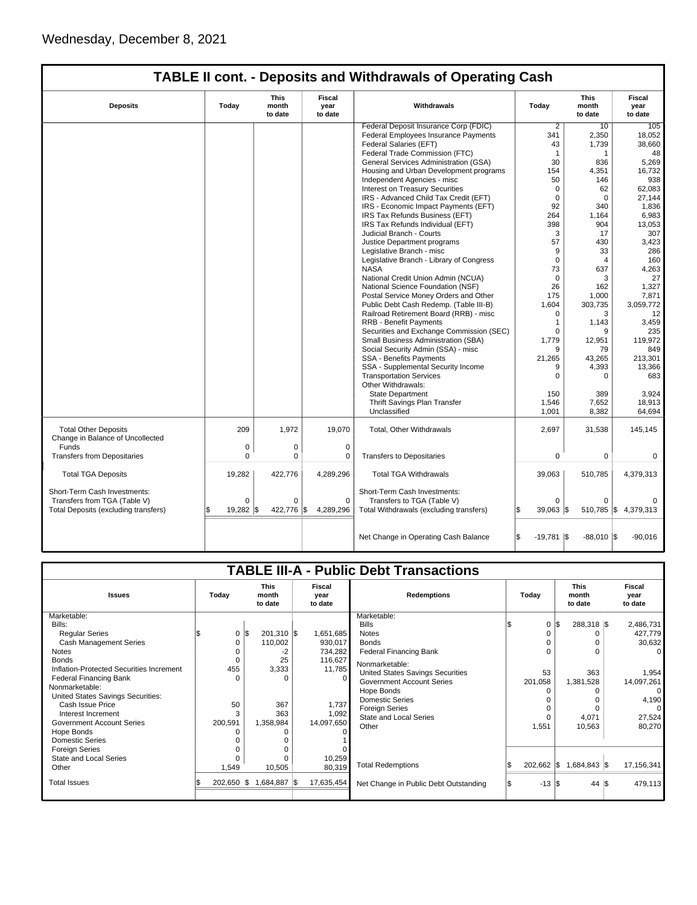Short-Term Cash Investments: Transfers from TGA (Table V) 0 0 0 Total Deposits (excluding transfers) \$ 19,282 \$ 422,776 \$ 4,289,296

Foreign Series 0 0 0 State and Local Series 0 0 10,259 Other 1,549 10,505 80,319 Total Issues  $\frac{1}{3}$  202,650  $\frac{1}{3}$  1,684,887  $\frac{1}{3}$  17,635,454

|                                           |               |                          |                                  | <b>TABLE II cont. - Deposits and Withdrawals of Operating Cash</b>      |                |                                 |                           |
|-------------------------------------------|---------------|--------------------------|----------------------------------|-------------------------------------------------------------------------|----------------|---------------------------------|---------------------------|
| <b>Deposits</b>                           | Today         | This<br>month<br>to date | <b>Fiscal</b><br>year<br>to date | Withdrawals                                                             | Today          | <b>This</b><br>month<br>to date | Fiscal<br>year<br>to date |
|                                           |               |                          |                                  | Federal Deposit Insurance Corp (FDIC)                                   | $\overline{2}$ | 10                              | 105                       |
|                                           |               |                          |                                  | Federal Employees Insurance Payments                                    | 341            | 2,350                           | 18,052                    |
|                                           |               |                          |                                  | Federal Salaries (EFT)                                                  | 43             | 1,739                           | 38,660                    |
|                                           |               |                          |                                  | Federal Trade Commission (FTC)                                          | $\mathbf 1$    | $\mathbf 1$                     | 48                        |
|                                           |               |                          |                                  | General Services Administration (GSA)                                   | 30             | 836                             | 5.269                     |
|                                           |               |                          |                                  | Housing and Urban Development programs<br>Independent Agencies - misc   | 154            | 4,351                           | 16,732                    |
|                                           |               |                          |                                  | Interest on Treasury Securities                                         | 50<br>$\Omega$ | 146<br>62                       | 938<br>62,083             |
|                                           |               |                          |                                  | IRS - Advanced Child Tax Credit (EFT)                                   | $\mathbf 0$    | $\Omega$                        | 27,144                    |
|                                           |               |                          |                                  | IRS - Economic Impact Payments (EFT)                                    | 92             | 340                             | 1,836                     |
|                                           |               |                          |                                  | IRS Tax Refunds Business (EFT)                                          | 264            | 1,164                           | 6,983                     |
|                                           |               |                          |                                  | IRS Tax Refunds Individual (EFT)                                        | 398            | 904                             | 13,053                    |
|                                           |               |                          |                                  | Judicial Branch - Courts                                                | 3              | 17                              | 307                       |
|                                           |               |                          |                                  | Justice Department programs                                             | 57             | 430                             | 3,423                     |
|                                           |               |                          |                                  | Legislative Branch - misc                                               | 9              | 33                              | 286                       |
|                                           |               |                          |                                  | Legislative Branch - Library of Congress                                | 0              | $\overline{4}$                  | 160                       |
|                                           |               |                          |                                  | <b>NASA</b>                                                             | 73             | 637                             | 4,263                     |
|                                           |               |                          |                                  | National Credit Union Admin (NCUA)                                      | $\mathbf 0$    | 3                               | 27                        |
|                                           |               |                          |                                  | National Science Foundation (NSF)                                       | 26             | 162                             | 1,327                     |
|                                           |               |                          |                                  | Postal Service Money Orders and Other                                   | 175            | 1,000                           | 7,871                     |
|                                           |               |                          |                                  | Public Debt Cash Redemp. (Table III-B)                                  | 1.604          | 303,735                         | 3,059,772                 |
|                                           |               |                          |                                  | Railroad Retirement Board (RRB) - misc<br><b>RRB - Benefit Payments</b> | $\Omega$       | 3                               | 12                        |
|                                           |               |                          |                                  | Securities and Exchange Commission (SEC)                                | 1<br>$\Omega$  | 1,143                           | 3,459                     |
|                                           |               |                          |                                  | Small Business Administration (SBA)                                     | 1,779          | 9<br>12,951                     | 235<br>119,972            |
|                                           |               |                          |                                  | Social Security Admin (SSA) - misc                                      | 9              | 79                              | 849                       |
|                                           |               |                          |                                  | SSA - Benefits Payments                                                 | 21,265         | 43,265                          | 213,301                   |
|                                           |               |                          |                                  | SSA - Supplemental Security Income                                      | 9              | 4,393                           | 13,366                    |
|                                           |               |                          |                                  | <b>Transportation Services</b><br>Other Withdrawals:                    | $\Omega$       | $\Omega$                        | 683                       |
|                                           |               |                          |                                  | <b>State Department</b>                                                 | 150            | 389                             | 3,924                     |
|                                           |               |                          |                                  | Thrift Savings Plan Transfer                                            | 1,546          | 7,652                           | 18.913                    |
|                                           |               |                          |                                  | Unclassified                                                            | 1.001          | 8,382                           | 64.694                    |
| <b>Total Other Deposits</b>               | 209           | 1,972                    | 19,070                           | Total, Other Withdrawals                                                | 2,697          | 31,538                          | 145,145                   |
| Change in Balance of Uncollected<br>Funds |               |                          |                                  |                                                                         |                |                                 |                           |
| <b>Transfers from Depositaries</b>        | 0<br>$\Omega$ | 0<br>$\Omega$            | $\mathbf 0$<br>0                 | <b>Transfers to Depositaries</b>                                        | $\Omega$       | $\mathbf 0$                     | $\Omega$                  |
|                                           |               |                          |                                  |                                                                         |                |                                 |                           |
| <b>Total TGA Deposits</b>                 | 19,282        | 422,776                  | 4,289,296                        | <b>Total TGA Withdrawals</b>                                            | 39,063         | 510,785                         | 4,379,313                 |

|                                                 |                  |                                 |                           | Net Change in Operating Cash Balance                                | $-19,781$ \\$ | $-88,010$ $\sqrt{\$}$           | $-90,016$                 |
|-------------------------------------------------|------------------|---------------------------------|---------------------------|---------------------------------------------------------------------|---------------|---------------------------------|---------------------------|
| <b>Issues</b>                                   | Today            | <b>This</b><br>month<br>to date | Fiscal<br>year<br>to date | <b>TABLE III-A - Public Debt Transactions</b><br><b>Redemptions</b> | Today         | <b>This</b><br>month<br>to date | Fiscal<br>year<br>to date |
| Marketable:                                     |                  |                                 |                           | Marketable:                                                         |               |                                 |                           |
| Bills:                                          |                  |                                 |                           | <b>Bills</b>                                                        | 0<br>l\$      | 288,318 \$                      | 2,486,731                 |
| <b>Regular Series</b>                           | $0 \,$ $\upbeta$ | $201,310$ \$                    | 1,651,685                 | <b>Notes</b>                                                        |               |                                 | 427,779                   |
| Cash Management Series                          | $\Omega$         | 110,002                         | 930,017                   | <b>Bonds</b>                                                        |               |                                 | 30,632                    |
| <b>Notes</b>                                    |                  |                                 | 734,282                   | <b>Federal Financing Bank</b>                                       |               |                                 |                           |
| <b>Bonds</b>                                    | $\Omega$         | 25                              | 116,627                   | Nonmarketable:                                                      |               |                                 |                           |
| Inflation-Protected Securities Increment        | 455<br>$\Omega$  | 3,333                           | 11,785                    | United States Savings Securities                                    | 53            | 363                             | 1,954                     |
| <b>Federal Financing Bank</b><br>Nonmarketable: |                  |                                 |                           | <b>Government Account Series</b>                                    | 201,058       | 1,381,528                       | 14,097,261                |
| United States Savings Securities:               |                  |                                 |                           | Hope Bonds                                                          |               |                                 |                           |
| Cash Issue Price                                | 50               | 367                             | 1,737                     | <b>Domestic Series</b>                                              |               |                                 | 4,190                     |
| Interest Increment                              | 3                | 363                             | 1,092                     | <b>Foreign Series</b>                                               |               |                                 |                           |
| <b>Government Account Series</b>                | 200,591          | 1,358,984                       | 14,097,650                | <b>State and Local Series</b>                                       |               | 4,071                           | 27,524                    |
| Hope Bonds                                      | O                |                                 |                           | Other                                                               | 1,551         | 10,563                          | 80,270                    |
| <b>Domestic Series</b>                          |                  |                                 |                           |                                                                     |               |                                 |                           |
| <b>Foreign Series</b>                           |                  |                                 |                           |                                                                     |               |                                 |                           |
| State and Local Series                          | 0                | 0                               | 10,259                    |                                                                     |               |                                 |                           |
|                                                 |                  |                                 |                           |                                                                     |               |                                 |                           |

Short-Term Cash Investments:<br>Transfers to TGA (Table V) 0 0 Transfers to TGA (Table V)<br>
Total Withdrawals (excluding transfers)  $\begin{vmatrix} 0 & 0 \\ 0 & 510,785 \end{vmatrix}$  \$ 4,379,313

Total Redemptions **\$** 202,662 \,\$ 1,684,843 \,\$ 17,156,341 Net Change in Public Debt Outstanding  $\begin{array}{|c|c|c|c|c|c|c|c|c|} \hline \text{S} & -13 & \text{S} & 44 & \text{S} & 479,113 \ \hline \end{array}$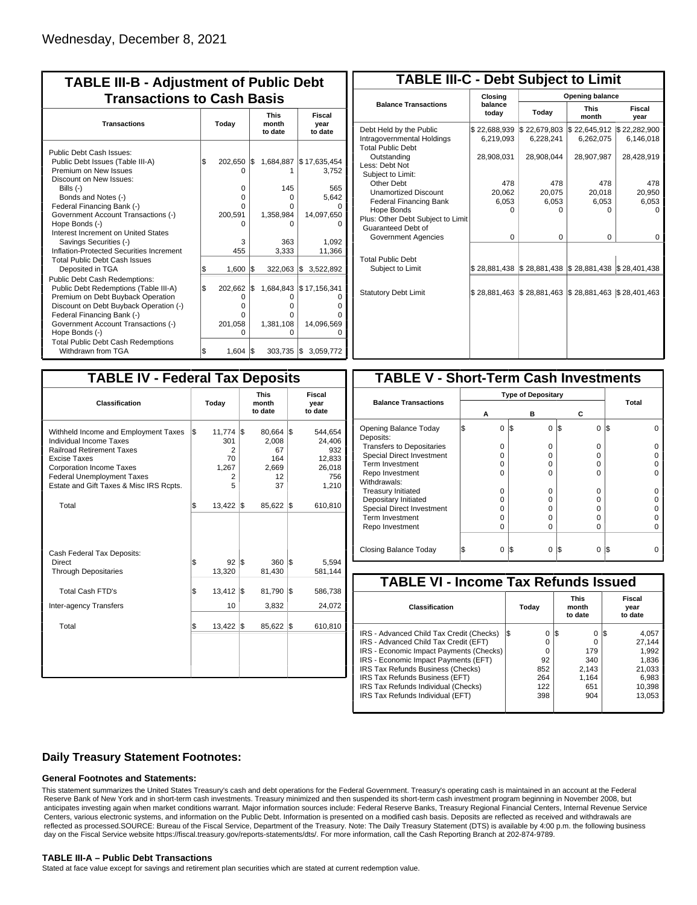| <b>TABLE III-B - Adjustment of Public Debt</b><br><b>Transactions to Cash Basis</b>                                                                                                                                                                 |       |                                        |     |                               |                                      |                                 |                           |  |
|-----------------------------------------------------------------------------------------------------------------------------------------------------------------------------------------------------------------------------------------------------|-------|----------------------------------------|-----|-------------------------------|--------------------------------------|---------------------------------|---------------------------|--|
| <b>Transactions</b>                                                                                                                                                                                                                                 | Today |                                        |     |                               |                                      | <b>This</b><br>month<br>to date | Fiscal<br>year<br>to date |  |
| Public Debt Cash Issues:<br>Public Debt Issues (Table III-A)<br>Premium on New Issues                                                                                                                                                               | l\$   | 202,650 \$<br>$\Omega$                 |     | 1,684,887                     | \$17,635,454<br>3,752                |                                 |                           |  |
| Discount on New Issues:<br>Bills (-)<br>Bonds and Notes (-)<br>Federal Financing Bank (-)<br>Government Account Transactions (-)                                                                                                                    |       | $\Omega$<br>0<br>O<br>200,591          |     | 145<br>0<br>o<br>1,358,984    | 565<br>5,642<br>14,097,650           |                                 |                           |  |
| Hope Bonds (-)<br>Interest Increment on United States<br>Savings Securities (-)<br>Inflation-Protected Securities Increment                                                                                                                         |       | 3<br>455                               |     | 363<br>3,333                  | 1,092<br>11,366                      |                                 |                           |  |
| <b>Total Public Debt Cash Issues</b><br>Deposited in TGA                                                                                                                                                                                            | \$    | 1,600                                  | 1\$ | $322,063$ \$                  | 3,522,892                            |                                 |                           |  |
| <b>Public Debt Cash Redemptions:</b><br>Public Debt Redemptions (Table III-A)<br>Premium on Debt Buyback Operation<br>Discount on Debt Buyback Operation (-)<br>Federal Financing Bank (-)<br>Government Account Transactions (-)<br>Hope Bonds (-) | \$    | 202,662<br>0<br>o<br>0<br>201,058<br>O | l\$ | O<br>o<br>o<br>1,381,108<br>O | 1,684,843 \$17,156,341<br>14,096,569 |                                 |                           |  |
| <b>Total Public Debt Cash Redemptions</b><br>Withdrawn from TGA                                                                                                                                                                                     | \$    | $1,604$ $\sqrt{5}$                     |     | $303,735$ $\sqrt{\$}$         | 3,059,772                            |                                 |                           |  |

| <b>TABLE III-C - Debt Subject to Limit</b>                                        |                           |                                                   |                           |                           |  |  |  |  |  |
|-----------------------------------------------------------------------------------|---------------------------|---------------------------------------------------|---------------------------|---------------------------|--|--|--|--|--|
|                                                                                   | Closing                   | Opening balance                                   |                           |                           |  |  |  |  |  |
| <b>Balance Transactions</b>                                                       | balance<br>today          | Today                                             | <b>This</b><br>month      | Fiscal<br>year            |  |  |  |  |  |
| Debt Held by the Public<br>Intragovernmental Holdings<br><b>Total Public Debt</b> | \$22,688,939<br>6.219.093 | \$22,679,803<br>6,228,241                         | \$22,645,912<br>6,262,075 | \$22,282,900<br>6,146,018 |  |  |  |  |  |
| Outstanding<br>Less: Debt Not<br>Subject to Limit:                                | 28,908,031                | 28,908,044                                        | 28,907,987                | 28,428,919                |  |  |  |  |  |
| Other Debt                                                                        | 478                       | 478                                               | 478                       | 478                       |  |  |  |  |  |
| <b>Unamortized Discount</b>                                                       | 20,062                    | 20,075                                            | 20,018                    | 20,950                    |  |  |  |  |  |
| <b>Federal Financing Bank</b>                                                     | 6,053                     | 6,053                                             | 6,053                     | 6,053                     |  |  |  |  |  |
| Hope Bonds                                                                        | ŋ                         | n                                                 | n                         | n                         |  |  |  |  |  |
| Plus: Other Debt Subject to Limit<br>Guaranteed Debt of                           |                           |                                                   |                           |                           |  |  |  |  |  |
| Government Agencies                                                               | 0                         | 0                                                 | 0                         | 0                         |  |  |  |  |  |
| <b>Total Public Debt</b><br>Subject to Limit                                      | \$28,881,438              | \$28,881,438 \$28,881,438 \$28,401,438            |                           |                           |  |  |  |  |  |
|                                                                                   |                           |                                                   |                           |                           |  |  |  |  |  |
| <b>Statutory Debt Limit</b>                                                       | \$28,881,463              | $\frac{1}{2}$ 28,881,463 $\frac{1}{2}$ 28,881,463 |                           | \$28,401,463              |  |  |  |  |  |
|                                                                                   |                           |                                                   |                           |                           |  |  |  |  |  |

| <b>TABLE IV - Federal Tax Deposits</b>                                                                                                                                                                                                        |     |                                             |     |                                                   |     |                                                              |  |  |
|-----------------------------------------------------------------------------------------------------------------------------------------------------------------------------------------------------------------------------------------------|-----|---------------------------------------------|-----|---------------------------------------------------|-----|--------------------------------------------------------------|--|--|
| Classification                                                                                                                                                                                                                                |     | Today                                       |     | <b>This</b><br>month<br>to date                   |     | Fiscal<br>year<br>to date                                    |  |  |
| Withheld Income and Employment Taxes<br>Individual Income Taxes<br><b>Railroad Retirement Taxes</b><br><b>Excise Taxes</b><br><b>Corporation Income Taxes</b><br><b>Federal Unemployment Taxes</b><br>Estate and Gift Taxes & Misc IRS Rcpts. | l\$ | 11,774<br>301<br>2<br>70<br>1,267<br>2<br>5 | l\$ | 80,664<br>2,008<br>67<br>164<br>2,669<br>12<br>37 | l\$ | 544,654<br>24,406<br>932<br>12,833<br>26,018<br>756<br>1,210 |  |  |
| Total                                                                                                                                                                                                                                         | \$  | $13,422$ \\$                                |     | 85,622                                            | 1\$ | 610,810                                                      |  |  |
| Cash Federal Tax Deposits:<br>Direct<br><b>Through Depositaries</b>                                                                                                                                                                           | \$  | 92<br>13,320                                | l\$ | 360<br>81,430                                     | l\$ | 5,594<br>581,144                                             |  |  |
| <b>Total Cash FTD's</b><br>Inter-agency Transfers                                                                                                                                                                                             | \$  | 13,412<br>10                                | 1\$ | 81,790<br>3,832                                   | I\$ | 586,738<br>24,072                                            |  |  |
| Total                                                                                                                                                                                                                                         | \$  | 13,422                                      | 1\$ | 85,622                                            | 1\$ | 610,810                                                      |  |  |
|                                                                                                                                                                                                                                               |     |                                             |     |                                                   |     |                                                              |  |  |

| <b>TABLE V - Short-Term Cash Investments</b> |   |                           |          |       |  |  |  |  |
|----------------------------------------------|---|---------------------------|----------|-------|--|--|--|--|
|                                              |   | <b>Type of Depositary</b> |          |       |  |  |  |  |
| <b>Balance Transactions</b>                  | А | в                         | С        | Total |  |  |  |  |
| Opening Balance Today<br>Deposits:           | 0 | 0<br>I\$                  | 0<br>1\$ | 13    |  |  |  |  |
| <b>Transfers to Depositaries</b>             | O | 0                         | 0        |       |  |  |  |  |
| <b>Special Direct Investment</b>             | O | 0                         | $\Omega$ |       |  |  |  |  |
| Term Investment                              | O | O                         | 0        |       |  |  |  |  |
| Repo Investment                              | O | $\Omega$                  | $\Omega$ |       |  |  |  |  |
| Withdrawals:                                 |   |                           |          |       |  |  |  |  |
| <b>Treasury Initiated</b>                    | O | 0                         | 0        |       |  |  |  |  |
| Depositary Initiated                         | O | O                         | 0        |       |  |  |  |  |
| <b>Special Direct Investment</b>             | O | O                         | 0        |       |  |  |  |  |
| <b>Term Investment</b>                       | ი | 0                         | 0        |       |  |  |  |  |
| Repo Investment                              | O | O                         | $\Omega$ |       |  |  |  |  |
|                                              |   |                           |          |       |  |  |  |  |
| Closing Balance Today                        | 0 | I\$<br>0                  | I\$<br>0 | I\$   |  |  |  |  |

| <b>TABLE VI - Income Tax Refunds Issued</b> |     |       |     |                                 |                           |        |  |  |  |
|---------------------------------------------|-----|-------|-----|---------------------------------|---------------------------|--------|--|--|--|
| Classification                              |     | Today |     | <b>This</b><br>month<br>to date | Fiscal<br>year<br>to date |        |  |  |  |
| IRS - Advanced Child Tax Credit (Checks)    | l\$ | 0     | 1\$ | 0                               | 135                       | 4,057  |  |  |  |
| IRS - Advanced Child Tax Credit (EFT)       |     | 0     |     | 0                               |                           | 27.144 |  |  |  |
| IRS - Economic Impact Payments (Checks)     |     | 0     |     | 179                             |                           | 1.992  |  |  |  |
| IRS - Economic Impact Payments (EFT)        |     | 92    |     | 340                             |                           | 1,836  |  |  |  |
| IRS Tax Refunds Business (Checks)           |     | 852   |     | 2.143                           |                           | 21,033 |  |  |  |
| IRS Tax Refunds Business (EFT)              |     | 264   |     | 1.164                           |                           | 6,983  |  |  |  |
| IRS Tax Refunds Individual (Checks)         |     | 122   |     | 651                             |                           | 10,398 |  |  |  |
| IRS Tax Refunds Individual (EFT)            |     | 398   |     | 904                             |                           | 13.053 |  |  |  |

### **Daily Treasury Statement Footnotes:**

#### **General Footnotes and Statements:**

This statement summarizes the United States Treasury's cash and debt operations for the Federal Government. Treasury's operating cash is maintained in an account at the Federal Reserve Bank of New York and in short-term cash investments. Treasury minimized and then suspended its short-term cash investment program beginning in November 2008, but anticipates investing again when market conditions warrant. Major information sources include: Federal Reserve Banks, Treasury Regional Financial Centers, Internal Revenue Service Centers, various electronic systems, and information on the Public Debt. Information is presented on a modified cash basis. Deposits are reflected as received and withdrawals are reflected as processed.SOURCE: Bureau of the Fiscal Service, Department of the Treasury. Note: The Daily Treasury Statement (DTS) is available by 4:00 p.m. the following business day on the Fiscal Service website https://fiscal.treasury.gov/reports-statements/dts/. For more information, call the Cash Reporting Branch at 202-874-9789.

#### **TABLE III-A – Public Debt Transactions**

Stated at face value except for savings and retirement plan securities which are stated at current redemption value.